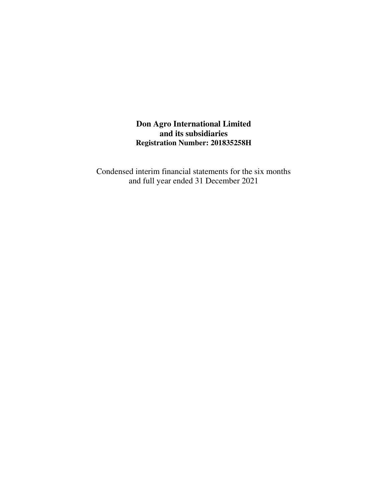**Don Agro International Limited and its subsidiaries Registration Number: 201835258H**

Condensed interim financial statements for the six months and full year ended 31 December 2021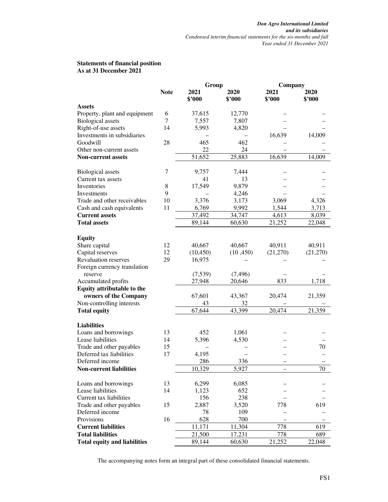#### **Statements of financial position As at 31 December 2021**

|                                     |             | Group          |                | Company                  |                |  |
|-------------------------------------|-------------|----------------|----------------|--------------------------|----------------|--|
|                                     | <b>Note</b> | 2021<br>\$2000 | 2020<br>\$'000 | 2021<br>\$'000           | 2020<br>\$'000 |  |
| <b>Assets</b>                       |             |                |                |                          |                |  |
| Property, plant and equipment       | 6           | 37,615         | 12,770         |                          |                |  |
| <b>Biological</b> assets            | 7           | 7,557          | 7,807          |                          |                |  |
| Right-of-use assets                 | 14          | 5,993          | 4,820          |                          |                |  |
| Investments in subsidiaries         |             |                |                | 16,639                   | 14,009         |  |
| Goodwill                            | 28          | 465            | 462            |                          |                |  |
| Other non-current assets            |             | 22             | 24             |                          |                |  |
| <b>Non-current assets</b>           |             | 51,652         | 25,883         | 16,639                   | 14,009         |  |
|                                     |             |                |                |                          |                |  |
| <b>Biological</b> assets            | 7           | 9,757          | 7,444          |                          |                |  |
| Current tax assets                  |             | 41             | 13             |                          |                |  |
| Inventories                         | 8           | 17,549         | 9,879          |                          |                |  |
| Investments                         | 9           |                | 4,246          |                          |                |  |
| Trade and other receivables         | 10          | 3,376          | 3,173          | 3,069                    | 4,326          |  |
| Cash and cash equivalents           | 11          | 6,769          | 9,992          | 1,544                    | 3,713          |  |
| <b>Current assets</b>               |             | 37,492         | 34,747         | 4,613                    | 8,039          |  |
| <b>Total assets</b>                 |             | 89,144         | 60,630         | 21,252                   | 22,048         |  |
|                                     |             |                |                |                          |                |  |
| <b>Equity</b>                       |             |                |                |                          |                |  |
| Share capital                       | 12          | 40,667         | 40,667         | 40,911                   | 40,911         |  |
| Capital reserves                    | 12          | (10, 450)      | (10, 450)      | (21,270)                 | (21,270)       |  |
| <b>Revaluation reserves</b>         | 29          | 16,975         |                |                          |                |  |
| Foreign currency translation        |             |                |                |                          |                |  |
| reserve                             |             | (7,539)        | (7, 496)       |                          |                |  |
| Accumulated profits                 |             | 27,948         | 20,646         | 833                      | 1,718          |  |
| Equity attributable to the          |             |                |                |                          |                |  |
| owners of the Company               |             | 67,601         | 43,367         | 20,474                   | 21,359         |  |
| Non-controlling interests           |             | 43             | 32             |                          |                |  |
| <b>Total equity</b>                 |             | 67,644         | 43,399         | 20,474                   | 21,359         |  |
| <b>Liabilities</b>                  |             |                |                |                          |                |  |
| Loans and borrowings                | 13          | 452            | 1,061          |                          |                |  |
| Lease liabilities                   | 14          | 5,396          | 4,530          |                          |                |  |
| Trade and other payables            | 15          |                |                |                          | 70             |  |
| Deferred tax liabilities            | 17          | 4,195          |                |                          |                |  |
| Deferred income                     |             | 286            | 336            | $\overline{\phantom{0}}$ |                |  |
| <b>Non-current liabilities</b>      |             | 10,329         | 5,927          |                          | 70             |  |
|                                     |             |                |                |                          |                |  |
| Loans and borrowings                | 13          | 6,299          | 6,085          |                          |                |  |
| Lease liabilities                   | 14          | 1,123          | 652            |                          |                |  |
| Current tax liabilities             |             | 156            | 238            |                          |                |  |
| Trade and other payables            | 15          | 2,887          | 3,520          | 778                      | 619            |  |
| Deferred income                     |             | 78             | 109            |                          |                |  |
| Provisions                          | 16          | 628            | 700            |                          |                |  |
| <b>Current liabilities</b>          |             | 11,171         | 11,304         | 778                      | 619            |  |
| <b>Total liabilities</b>            |             | 21,500         | 17,231         | 778                      | 689            |  |
| <b>Total equity and liabilities</b> |             | 89,144         | 60,630         | 21,252                   | 22,048         |  |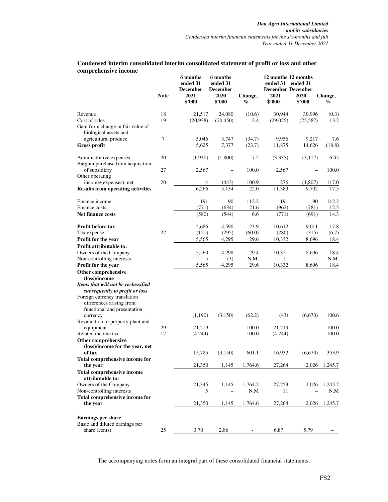|                                                                                                                                                                                                          | <b>Note</b> | 6 months<br>ended 31<br><b>December</b><br>2021<br>\$2000 | 6 months<br>ended 31<br><b>December</b><br>2020<br>\$2000 | Change,<br>$\%$ | 12 months 12 months<br>ended 31<br><b>December December</b><br>2021<br>\$2000 | ended 31<br>2020<br>\$'000 | Change,<br>$\%$ |
|----------------------------------------------------------------------------------------------------------------------------------------------------------------------------------------------------------|-------------|-----------------------------------------------------------|-----------------------------------------------------------|-----------------|-------------------------------------------------------------------------------|----------------------------|-----------------|
|                                                                                                                                                                                                          |             |                                                           |                                                           |                 |                                                                               |                            |                 |
| Revenue                                                                                                                                                                                                  | 18          | 21,517                                                    | 24,080                                                    | (10.6)          | 30,944                                                                        | 30,996                     | (0.3)           |
| Cost of sales<br>Gain from change in fair value of<br>biological assets and                                                                                                                              | 19          | (20,938)                                                  | (20, 450)                                                 | 2.4             | (29,025)                                                                      | (25,587)                   | 13.2            |
| agricultural produce                                                                                                                                                                                     | 7           | 5,046                                                     | 3,747                                                     | (34.7)          | 9,956                                                                         | 9,217                      | 7.6             |
| <b>Gross profit</b>                                                                                                                                                                                      |             | 5,625                                                     | 7,377                                                     | (23.7)          | 11,875                                                                        | 14,626                     | (18.8)          |
| Administrative expenses<br>Bargain purchase from acquisition                                                                                                                                             | 20          | (1,930)                                                   | (1,800)                                                   | 7.2             | (3,335)                                                                       | (3,117)                    | 6.45            |
| of subsidiary<br>Other operating                                                                                                                                                                         | 27          | 2,567                                                     |                                                           | 100.0           | 2,567                                                                         |                            | 100.0           |
| income/(expenses), net                                                                                                                                                                                   | 20          | 4                                                         | (443)                                                     | 100.9           | 276                                                                           | (1,807)                    | 117.0           |
| <b>Results from operating activities</b>                                                                                                                                                                 |             | 6,266                                                     | 5,134                                                     | 22.0            | 11,383                                                                        | 9,702                      | 17.5            |
| Finance income                                                                                                                                                                                           |             | 191                                                       | 90                                                        | 112.2           | 191                                                                           | 90                         | 112.2           |
| Finance costs                                                                                                                                                                                            |             | (771)                                                     | (634)                                                     | 21.6            | (962)                                                                         | (781)                      | 12.5            |
| <b>Net finance costs</b>                                                                                                                                                                                 |             | (580)                                                     | (544)                                                     | 6.6             | (771)                                                                         | (691)                      | 14.3            |
| Profit before tax                                                                                                                                                                                        |             | 5,686                                                     | 4,590                                                     | 23.9            | 10,612                                                                        | 9,011                      | 17.8            |
| Tax expense                                                                                                                                                                                              | 22          | (121)                                                     | (295)                                                     | (60.0)          | (280)                                                                         | (315)                      | (6.7)           |
| Profit for the year                                                                                                                                                                                      |             | 5,565                                                     | 4,295                                                     | 29.6            | 10,332                                                                        | 8,696                      | 18.4            |
| Profit attributable to:                                                                                                                                                                                  |             |                                                           |                                                           |                 |                                                                               |                            |                 |
| Owners of the Company                                                                                                                                                                                    |             | 5,560                                                     | 4,298                                                     | 29.4            | 10,321                                                                        | 8,696                      | 18.4            |
| Non-controlling interests                                                                                                                                                                                |             | 5                                                         | (3)                                                       | N.M.            | 11                                                                            |                            | N.M.            |
| Profit for the year                                                                                                                                                                                      |             | 5,565                                                     | 4,295                                                     | 29.6            | 10,332                                                                        | 8,696                      | 18.4            |
| Other comprehensive<br>(loss)/income<br>Items that will not be reclassified<br>subsequently to profit or loss<br>Foreign currency translation<br>differences arising from<br>functional and presentation |             |                                                           |                                                           |                 |                                                                               |                            |                 |
| currency                                                                                                                                                                                                 |             | (1,190)                                                   | (3,150)                                                   | (62.2)          | (43)                                                                          | (6,670)                    | 100.6           |
| Revaluation of property plant and                                                                                                                                                                        | 29          | 21,219                                                    |                                                           | 100.0           | 21,219                                                                        |                            | 100.0           |
| equipment<br>Related income tax                                                                                                                                                                          | 17          | (4,244)                                                   |                                                           | 100.0           | (4,244)                                                                       | $\overline{\phantom{0}}$   | 100.0           |
| Other comprehensive<br>(loss)/income for the year, net<br>of tax                                                                                                                                         |             | 15,785                                                    | -<br>(3,150)                                              | 601.1           | 16,932                                                                        | (6,670)                    | 353.9           |
|                                                                                                                                                                                                          |             |                                                           |                                                           |                 |                                                                               |                            |                 |
| Total comprehensive income for<br>the year                                                                                                                                                               |             | 21,350                                                    | 1,145                                                     | 1,764.6         | 27,264                                                                        |                            | 2,026 1,245.7   |
| <b>Total comprehensive income</b><br>attributable to:                                                                                                                                                    |             |                                                           |                                                           |                 |                                                                               |                            |                 |
| Owners of the Company                                                                                                                                                                                    |             | 21,345                                                    | 1,145                                                     | 1,764.2         | 27,253                                                                        | 2,026                      | 1,245.2         |
| Non-controlling interests                                                                                                                                                                                |             | 5                                                         |                                                           | N.M             | 11                                                                            |                            | N.M             |
| Total comprehensive income for<br>the year                                                                                                                                                               |             | 21,350                                                    | 1,145                                                     | 1,764.6         | 27,264                                                                        | 2,026                      | 1,245.7         |
| <b>Earnings per share</b>                                                                                                                                                                                |             |                                                           |                                                           |                 |                                                                               |                            |                 |
| Basic and diluted earnings per                                                                                                                                                                           |             |                                                           |                                                           |                 |                                                                               |                            |                 |
| share (cents)                                                                                                                                                                                            | 25          | 3.70                                                      | 2.86                                                      |                 | 6.87                                                                          | 5.79                       |                 |

#### **Condensed interim consolidated interim consolidated statement of profit or loss and other comprehensive income**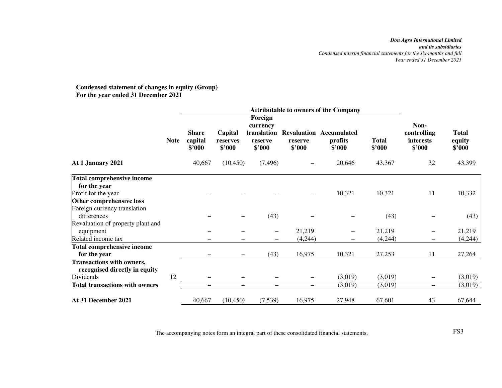# **Condensed statement of changes in equity (Group) For the year ended 31 December 2021**

|                                                                   |             |                                   |                               |                                              |                   | <b>Attributable to owners of the Company</b>        |                        |                                            |                                  |
|-------------------------------------------------------------------|-------------|-----------------------------------|-------------------------------|----------------------------------------------|-------------------|-----------------------------------------------------|------------------------|--------------------------------------------|----------------------------------|
|                                                                   |             |                                   |                               |                                              |                   |                                                     |                        |                                            |                                  |
|                                                                   | <b>Note</b> | <b>Share</b><br>capital<br>\$'000 | Capital<br>reserves<br>\$'000 | currency<br>translation<br>reserve<br>\$'000 | reserve<br>\$2000 | <b>Revaluation Accumulated</b><br>profits<br>\$'000 | <b>Total</b><br>\$'000 | Non-<br>controlling<br>interests<br>\$2000 | <b>Total</b><br>equity<br>\$'000 |
| At 1 January 2021                                                 |             | 40,667                            | (10, 450)                     | (7, 496)                                     |                   | 20,646                                              | 43,367                 | 32                                         | 43,399                           |
| <b>Total comprehensive income</b>                                 |             |                                   |                               |                                              |                   |                                                     |                        |                                            |                                  |
| for the year                                                      |             |                                   |                               |                                              |                   |                                                     |                        |                                            |                                  |
| Profit for the year                                               |             |                                   |                               |                                              |                   | 10,321                                              | 10,321                 | 11                                         | 10,332                           |
| Other comprehensive loss                                          |             |                                   |                               |                                              |                   |                                                     |                        |                                            |                                  |
| Foreign currency translation<br>differences                       |             |                                   |                               | (43)                                         |                   |                                                     | (43)                   |                                            | (43)                             |
| Revaluation of property plant and                                 |             |                                   |                               |                                              |                   |                                                     |                        |                                            |                                  |
| equipment                                                         |             |                                   |                               | $\qquad \qquad$                              | 21,219            | $\qquad \qquad$                                     | 21,219                 |                                            | 21,219                           |
| Related income tax                                                |             |                                   |                               | $\overline{\phantom{0}}$                     | (4,244)           |                                                     | (4,244)                |                                            | (4,244)                          |
| <b>Total comprehensive income</b><br>for the year                 |             |                                   | $\qquad \qquad -$             | (43)                                         | 16,975            | 10,321                                              | 27,253                 | 11                                         | 27,264                           |
| <b>Transactions with owners,</b><br>recognised directly in equity |             |                                   |                               |                                              |                   |                                                     |                        |                                            |                                  |
| Dividends                                                         | 12          |                                   |                               |                                              | —                 | (3,019)                                             | (3,019)                |                                            | (3,019)                          |
| <b>Total transactions with owners</b>                             |             |                                   | $\qquad \qquad -$             | $\overline{\phantom{0}}$                     | $\qquad \qquad -$ | (3,019)                                             | (3,019)                | $\qquad \qquad -$                          | (3,019)                          |
| At 31 December 2021                                               |             | 40,667                            | (10, 450)                     | (7,539)                                      | 16,975            | 27,948                                              | 67,601                 | 43                                         | 67,644                           |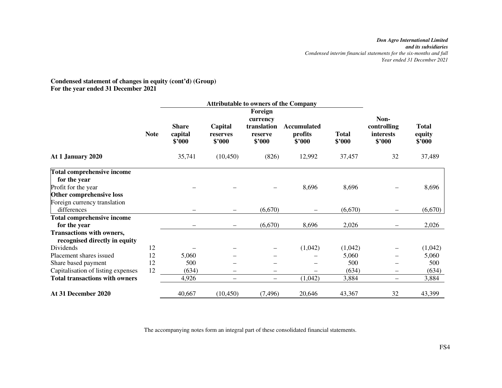#### **Condensed statement of changes in equity (cont'd) (Group) For the year ended 31 December 2021**

|                                                            |             |                                   | <b>Attributable to owners of the Company</b> |                                                         |                                         |                        |                                            |                                  |
|------------------------------------------------------------|-------------|-----------------------------------|----------------------------------------------|---------------------------------------------------------|-----------------------------------------|------------------------|--------------------------------------------|----------------------------------|
|                                                            | <b>Note</b> | <b>Share</b><br>capital<br>\$'000 | Capital<br>reserves<br>\$'000                | Foreign<br>currency<br>translation<br>reserve<br>\$'000 | <b>Accumulated</b><br>profits<br>\$'000 | <b>Total</b><br>\$'000 | Non-<br>controlling<br>interests<br>\$'000 | <b>Total</b><br>equity<br>\$'000 |
| At 1 January 2020                                          |             | 35,741                            | (10, 450)                                    | (826)                                                   | 12,992                                  | 37,457                 | 32                                         | 37,489                           |
| <b>Total comprehensive income</b>                          |             |                                   |                                              |                                                         |                                         |                        |                                            |                                  |
| for the year                                               |             |                                   |                                              |                                                         |                                         |                        |                                            |                                  |
| Profit for the year                                        |             |                                   |                                              |                                                         | 8,696                                   | 8,696                  |                                            | 8,696                            |
| Other comprehensive loss                                   |             |                                   |                                              |                                                         |                                         |                        |                                            |                                  |
| Foreign currency translation                               |             |                                   |                                              |                                                         |                                         |                        |                                            |                                  |
| differences                                                |             |                                   |                                              | (6,670)                                                 |                                         | (6,670)                |                                            | (6,670)                          |
| Total comprehensive income                                 |             |                                   |                                              |                                                         |                                         |                        |                                            |                                  |
| for the year                                               |             |                                   |                                              | (6,670)                                                 | 8,696                                   | 2,026                  |                                            | 2,026                            |
| Transactions with owners,<br>recognised directly in equity |             |                                   |                                              |                                                         |                                         |                        |                                            |                                  |
| Dividends                                                  | 12          |                                   |                                              |                                                         | (1,042)                                 | (1,042)                |                                            | (1,042)                          |
| Placement shares issued                                    | 12          | 5,060                             |                                              |                                                         |                                         | 5,060                  |                                            | 5,060                            |
| Share based payment                                        | 12          | 500                               |                                              |                                                         |                                         | 500                    |                                            | 500                              |
| Capitalisation of listing expenses                         | 12          | (634)                             | $\overline{\phantom{0}}$                     |                                                         |                                         | (634)                  | $\qquad \qquad$                            | (634)                            |
| <b>Total transactions with owners</b>                      |             | 4,926                             | $\qquad \qquad -$                            | $\qquad \qquad -$                                       | (1,042)                                 | 3,884                  | $\overline{\phantom{0}}$                   | 3,884                            |
| At 31 December 2020                                        |             | 40,667                            | (10, 450)                                    | (7, 496)                                                | 20,646                                  | 43,367                 | 32                                         | 43,399                           |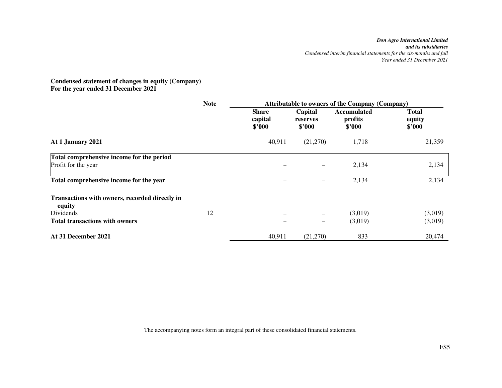#### **Condensed statement of changes in equity (Company) For the year ended 31 December 2021**

|                                                          | <b>Note</b> | <b>Attributable to owners of the Company (Company)</b> |                               |                                  |                                  |  |
|----------------------------------------------------------|-------------|--------------------------------------------------------|-------------------------------|----------------------------------|----------------------------------|--|
|                                                          |             | <b>Share</b><br>capital<br>\$2000                      | Capital<br>reserves<br>\$2000 | Accumulated<br>profits<br>\$'000 | <b>Total</b><br>equity<br>\$'000 |  |
| At 1 January 2021                                        |             | 40,911                                                 | (21,270)                      | 1,718                            | 21,359                           |  |
| Total comprehensive income for the period                |             |                                                        |                               |                                  |                                  |  |
| Profit for the year                                      |             |                                                        | —                             | 2,134                            | 2,134                            |  |
| Total comprehensive income for the year                  |             |                                                        |                               | 2,134                            | 2,134                            |  |
| Transactions with owners, recorded directly in<br>equity |             |                                                        |                               |                                  |                                  |  |
| Dividends                                                | 12          |                                                        | $\overline{\phantom{0}}$      | (3,019)                          | (3,019)                          |  |
| <b>Total transactions with owners</b>                    |             | —                                                      |                               | (3,019)                          | (3,019)                          |  |
| At 31 December 2021                                      |             | 40,911                                                 | (21,270)                      | 833                              | 20,474                           |  |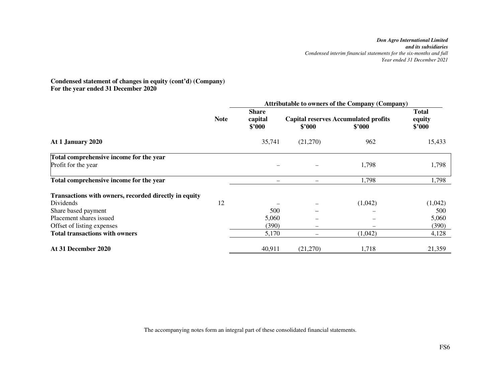#### **Condensed statement of changes in equity (cont'd) (Company) For the year ended 31 December 2020**

|                                                       |             | <b>Attributable to owners of the Company (Company)</b> |          |                                                       |                                  |  |  |
|-------------------------------------------------------|-------------|--------------------------------------------------------|----------|-------------------------------------------------------|----------------------------------|--|--|
|                                                       | <b>Note</b> | <b>Share</b><br>capital<br>\$3000                      | \$2000   | <b>Capital reserves Accumulated profits</b><br>\$'000 | <b>Total</b><br>equity<br>\$2000 |  |  |
| At 1 January 2020                                     |             | 35,741                                                 | (21,270) | 962                                                   | 15,433                           |  |  |
| Total comprehensive income for the year               |             |                                                        |          |                                                       |                                  |  |  |
| Profit for the year                                   |             |                                                        |          | 1,798                                                 | 1,798                            |  |  |
| Total comprehensive income for the year               |             |                                                        |          | 1,798                                                 | 1,798                            |  |  |
| Transactions with owners, recorded directly in equity |             |                                                        |          |                                                       |                                  |  |  |
| Dividends                                             | 12          |                                                        |          | (1,042)                                               | (1,042)                          |  |  |
| Share based payment                                   |             | 500                                                    |          |                                                       | 500                              |  |  |
| Placement shares issued                               |             | 5,060                                                  |          |                                                       | 5,060                            |  |  |
| Offset of listing expenses                            |             | (390)                                                  |          |                                                       | (390)                            |  |  |
| <b>Total transactions with owners</b>                 |             | 5,170                                                  |          | (1,042)                                               | 4,128                            |  |  |
| At 31 December 2020                                   |             | 40,911                                                 | (21,270) | 1,718                                                 | 21,359                           |  |  |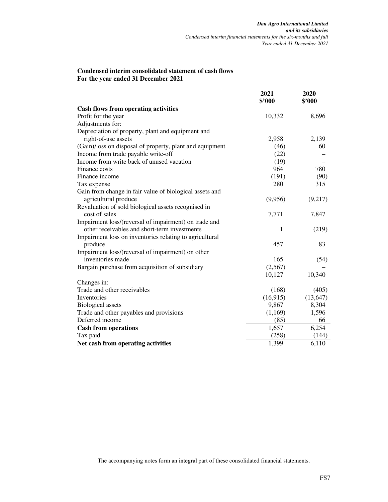#### **Condensed interim consolidated statement of cash flows For the year ended 31 December 2021**

|                                                          | 2021<br>\$'000 | 2020<br>\$3000 |
|----------------------------------------------------------|----------------|----------------|
| <b>Cash flows from operating activities</b>              |                |                |
| Profit for the year                                      | 10,332         | 8,696          |
| Adjustments for:                                         |                |                |
| Depreciation of property, plant and equipment and        |                |                |
| right-of-use assets                                      | 2,958          | 2,139          |
| (Gain)/loss on disposal of property, plant and equipment | (46)           | 60             |
| Income from trade payable write-off                      | (22)           |                |
| Income from write back of unused vacation                | (19)           |                |
| Finance costs                                            | 964            | 780            |
| Finance income                                           | (191)          | (90)           |
| Tax expense                                              | 280            | 315            |
| Gain from change in fair value of biological assets and  |                |                |
| agricultural produce                                     | (9,956)        | (9,217)        |
| Revaluation of sold biological assets recognised in      |                |                |
| cost of sales                                            | 7,771          | 7,847          |
| Impairment loss/(reversal of impairment) on trade and    |                |                |
| other receivables and short-term investments             | 1              | (219)          |
| Impairment loss on inventories relating to agricultural  |                |                |
| produce                                                  | 457            | 83             |
| Impairment loss/(reversal of impairment) on other        |                |                |
| inventories made                                         | 165            | (54)           |
| Bargain purchase from acquisition of subsidiary          | (2,567)        |                |
|                                                          | 10,127         | 10,340         |
| Changes in:                                              |                |                |
| Trade and other receivables                              | (168)          | (405)          |
| Inventories                                              | (16, 915)      | (13, 647)      |
| <b>Biological</b> assets                                 | 9,867          | 8,304          |
| Trade and other payables and provisions                  | (1,169)        | 1,596          |
| Deferred income                                          | (85)           | 66             |
| <b>Cash from operations</b>                              | 1,657          | 6,254          |
| Tax paid                                                 | (258)          | (144)          |
| Net cash from operating activities                       | 1,399          | 6,110          |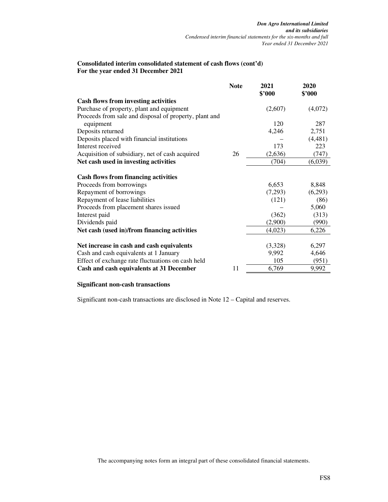#### **Consolidated interim consolidated statement of cash flows (cont'd) For the year ended 31 December 2021**

|                                                                                               | <b>Note</b> | 2021<br>\$'000 | 2020<br>\$'000 |
|-----------------------------------------------------------------------------------------------|-------------|----------------|----------------|
| <b>Cash flows from investing activities</b>                                                   |             |                |                |
| Purchase of property, plant and equipment                                                     |             | (2,607)        | (4,072)        |
| Proceeds from sale and disposal of property, plant and                                        |             |                |                |
| equipment                                                                                     |             | 120            | 287            |
| Deposits returned                                                                             |             | 4,246          | 2,751          |
| Deposits placed with financial institutions                                                   |             |                | (4, 481)       |
| Interest received                                                                             |             | 173            | 223            |
| Acquisition of subsidiary, net of cash acquired                                               | 26          | (2,636)        | (747)          |
| Net cash used in investing activities                                                         |             | (704)          | (6,039)        |
| <b>Cash flows from financing activities</b>                                                   |             |                |                |
| Proceeds from borrowings                                                                      |             | 6,653          | 8,848          |
| Repayment of borrowings                                                                       |             | (7,293)        | (6,293)        |
| Repayment of lease liabilities                                                                |             | (121)          | (86)           |
| Proceeds from placement shares issued                                                         |             |                | 5,060          |
| Interest paid                                                                                 |             | (362)          | (313)          |
| Dividends paid                                                                                |             | (2,900)        | (990)          |
| Net cash (used in)/from financing activities                                                  |             | (4,023)        | 6,226          |
|                                                                                               |             | (3,328)        | 6,297          |
| Net increase in cash and cash equivalents                                                     |             |                |                |
| Cash and cash equivalents at 1 January                                                        |             | 9,992<br>105   | 4,646<br>(951) |
| Effect of exchange rate fluctuations on cash held<br>Cash and cash equivalents at 31 December | 11          | 6,769          | 9,992          |
|                                                                                               |             |                |                |

#### **Significant non-cash transactions**

Significant non-cash transactions are disclosed in Note 12 – Capital and reserves.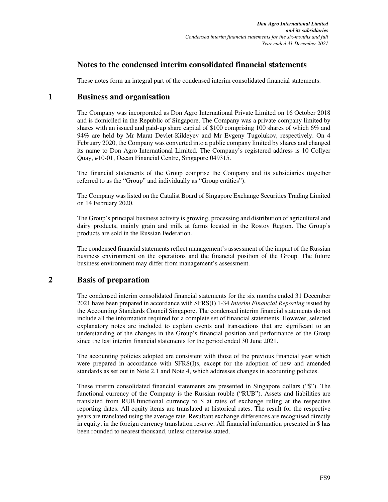### **Notes to the condensed interim consolidated financial statements**

These notes form an integral part of the condensed interim consolidated financial statements.

### **1 Business and organisation**

The Company was incorporated as Don Agro International Private Limited on 16 October 2018 and is domiciled in the Republic of Singapore. The Company was a private company limited by shares with an issued and paid-up share capital of \$100 comprising 100 shares of which 6% and 94% are held by Mr Marat Devlet-Kildeyev and Mr Evgeny Tugolukov, respectively. On 4 February 2020, the Company was converted into a public company limited by shares and changed its name to Don Agro International Limited. The Company's registered address is 10 Collyer Quay, #10-01, Ocean Financial Centre, Singapore 049315.

The financial statements of the Group comprise the Company and its subsidiaries (together referred to as the "Group" and individually as "Group entities").

The Company was listed on the Catalist Board of Singapore Exchange Securities Trading Limited on 14 February 2020.

The Group's principal business activity is growing, processing and distribution of agricultural and dairy products, mainly grain and milk at farms located in the Rostov Region. The Group's products are sold in the Russian Federation.

The condensed financial statements reflect management's assessment of the impact of the Russian business environment on the operations and the financial position of the Group. The future business environment may differ from management's assessment.

### **2 Basis of preparation**

The condensed interim consolidated financial statements for the six months ended 31 December 2021 have been prepared in accordance with SFRS(I) 1-34 *Interim Financial Reporting* issued by the Accounting Standards Council Singapore. The condensed interim financial statements do not include all the information required for a complete set of financial statements. However, selected explanatory notes are included to explain events and transactions that are significant to an understanding of the changes in the Group's financial position and performance of the Group since the last interim financial statements for the period ended 30 June 2021.

The accounting policies adopted are consistent with those of the previous financial year which were prepared in accordance with SFRS(I)s, except for the adoption of new and amended standards as set out in Note 2.1 and Note 4, which addresses changes in accounting policies.

These interim consolidated financial statements are presented in Singapore dollars ("\$"). The functional currency of the Company is the Russian rouble ("RUB"). Assets and liabilities are translated from RUB functional currency to \$ at rates of exchange ruling at the respective reporting dates. All equity items are translated at historical rates. The result for the respective years are translated using the average rate. Resultant exchange differences are recognised directly in equity, in the foreign currency translation reserve. All financial information presented in \$ has been rounded to nearest thousand, unless otherwise stated.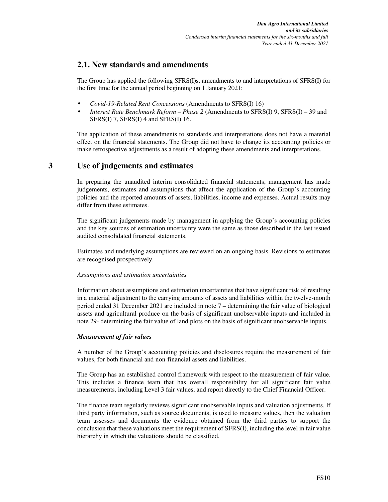### **2.1. New standards and amendments**

The Group has applied the following SFRS(I)s, amendments to and interpretations of SFRS(I) for the first time for the annual period beginning on 1 January 2021:

- *Covid-19-Related Rent Concessions* (Amendments to SFRS(I) 16)
- *Interest Rate Benchmark Reform Phase 2* (Amendments to SFRS(I) 9, SFRS(I) 39 and SFRS(I) 7, SFRS(I) 4 and SFRS(I) 16.

The application of these amendments to standards and interpretations does not have a material effect on the financial statements. The Group did not have to change its accounting policies or make retrospective adjustments as a result of adopting these amendments and interpretations.

### **3 Use of judgements and estimates**

In preparing the unaudited interim consolidated financial statements, management has made judgements, estimates and assumptions that affect the application of the Group's accounting policies and the reported amounts of assets, liabilities, income and expenses. Actual results may differ from these estimates.

The significant judgements made by management in applying the Group's accounting policies and the key sources of estimation uncertainty were the same as those described in the last issued audited consolidated financial statements.

Estimates and underlying assumptions are reviewed on an ongoing basis. Revisions to estimates are recognised prospectively.

#### *Assumptions and estimation uncertainties*

Information about assumptions and estimation uncertainties that have significant risk of resulting in a material adjustment to the carrying amounts of assets and liabilities within the twelve-month period ended 31 December 2021 are included in note 7 – determining the fair value of biological assets and agricultural produce on the basis of significant unobservable inputs and included in note 29- determining the fair value of land plots on the basis of significant unobservable inputs.

#### *Measurement of fair values*

A number of the Group's accounting policies and disclosures require the measurement of fair values, for both financial and non-financial assets and liabilities.

The Group has an established control framework with respect to the measurement of fair value. This includes a finance team that has overall responsibility for all significant fair value measurements, including Level 3 fair values, and report directly to the Chief Financial Officer.

The finance team regularly reviews significant unobservable inputs and valuation adjustments. If third party information, such as source documents, is used to measure values, then the valuation team assesses and documents the evidence obtained from the third parties to support the conclusion that these valuations meet the requirement of SFRS(I), including the level in fair value hierarchy in which the valuations should be classified.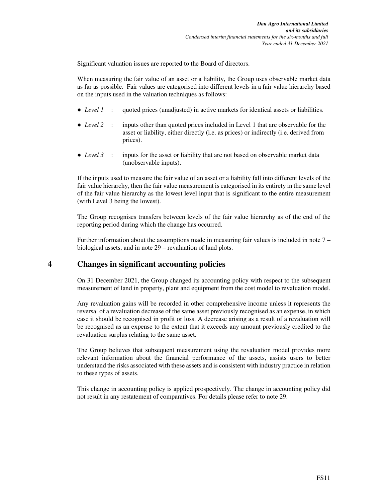Significant valuation issues are reported to the Board of directors.

When measuring the fair value of an asset or a liability, the Group uses observable market data as far as possible. Fair values are categorised into different levels in a fair value hierarchy based on the inputs used in the valuation techniques as follows:

- *Level 1* : quoted prices (unadjusted) in active markets for identical assets or liabilities.
- *Level* 2 : inputs other than quoted prices included in Level 1 that are observable for the asset or liability, either directly (i.e. as prices) or indirectly (i.e. derived from prices).
- *Level 3* : inputs for the asset or liability that are not based on observable market data (unobservable inputs).

If the inputs used to measure the fair value of an asset or a liability fall into different levels of the fair value hierarchy, then the fair value measurement is categorised in its entirety in the same level of the fair value hierarchy as the lowest level input that is significant to the entire measurement (with Level 3 being the lowest).

The Group recognises transfers between levels of the fair value hierarchy as of the end of the reporting period during which the change has occurred.

Further information about the assumptions made in measuring fair values is included in note 7 – biological assets, and in note 29 – revaluation of land plots.

### **4 Changes in significant accounting policies**

On 31 December 2021, the Group changed its accounting policy with respect to the subsequent measurement of land in property, plant and equipment from the cost model to revaluation model.

Any revaluation gains will be recorded in other comprehensive income unless it represents the reversal of a revaluation decrease of the same asset previously recognised as an expense, in which case it should be recognised in profit or loss. A decrease arising as a result of a revaluation will be recognised as an expense to the extent that it exceeds any amount previously credited to the revaluation surplus relating to the same asset.

The Group believes that subsequent measurement using the revaluation model provides more relevant information about the financial performance of the assets, assists users to better understand the risks associated with these assets and is consistent with industry practice in relation to these types of assets.

This change in accounting policy is applied prospectively. The change in accounting policy did not result in any restatement of comparatives. For details please refer to note 29.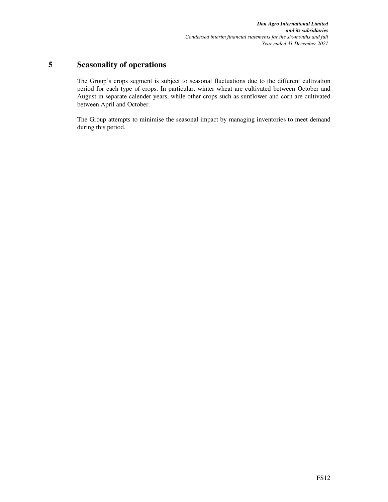### **5 Seasonality of operations**

The Group's crops segment is subject to seasonal fluctuations due to the different cultivation period for each type of crops. In particular, winter wheat are cultivated between October and August in separate calender years, while other crops such as sunflower and corn are cultivated between April and October.

The Group attempts to minimise the seasonal impact by managing inventories to meet demand during this period.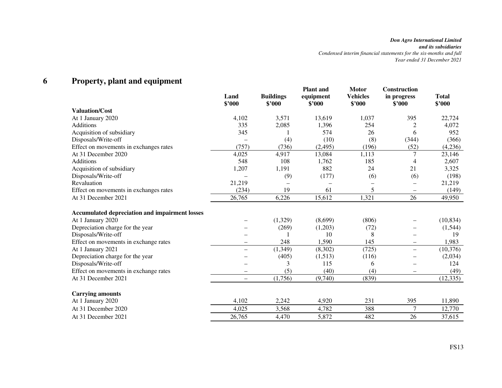#### **6Property, plant and equipment**

|                                                       | Land<br>\$'000           | <b>Buildings</b><br>\$2000 | <b>Plant</b> and<br>equipment<br>\$2000 | <b>Motor</b><br><b>Vehicles</b><br>\$2000 | <b>Construction</b><br>in progress<br>\$'000 | <b>Total</b><br>\$'000 |
|-------------------------------------------------------|--------------------------|----------------------------|-----------------------------------------|-------------------------------------------|----------------------------------------------|------------------------|
| <b>Valuation/Cost</b>                                 |                          |                            |                                         |                                           |                                              |                        |
| At 1 January 2020                                     | 4,102                    | 3,571                      | 13,619                                  | 1,037                                     | 395                                          | 22,724                 |
| Additions                                             | 335                      | 2,085                      | 1,396                                   | 254                                       | $\overline{c}$                               | 4,072                  |
| Acquisition of subsidiary                             | 345                      |                            | 574                                     | 26                                        | 6                                            | 952                    |
| Disposals/Write-off                                   |                          | (4)                        | (10)                                    | (8)                                       | (344)                                        | (366)                  |
| Effect on movements in exchanges rates                | (757)                    | (736)                      | (2, 495)                                | (196)                                     | (52)                                         | (4,236)                |
| At 31 December 2020                                   | 4,025                    | 4,917                      | 13,084                                  | 1,113                                     | 7                                            | 23,146                 |
| <b>Additions</b>                                      | 548                      | 108                        | 1,762                                   | 185                                       | 4                                            | 2,607                  |
| Acquisition of subsidiary                             | 1,207                    | 1,191                      | 882                                     | 24                                        | 21                                           | 3,325                  |
| Disposals/Write-off                                   |                          | (9)                        | (177)                                   | (6)                                       | (6)                                          | (198)                  |
| Revaluation                                           | 21,219                   |                            |                                         |                                           |                                              | 21,219                 |
| Effect on movements in exchanges rates                | (234)                    | 19                         | 61                                      | 5                                         |                                              | (149)                  |
| At 31 December 2021                                   | 26,765                   | 6,226                      | 15,612                                  | 1,321                                     | 26                                           | 49,950                 |
| <b>Accumulated depreciation and impairment losses</b> |                          |                            |                                         |                                           |                                              |                        |
| At 1 January 2020                                     |                          | (1,329)                    | (8,699)                                 | (806)                                     | $\qquad \qquad -$                            | (10, 834)              |
| Depreciation charge for the year                      |                          | (269)                      | (1,203)                                 | (72)                                      | $\overline{\phantom{0}}$                     | (1,544)                |
| Disposals/Write-off                                   |                          |                            | 10                                      | 8                                         | $\overline{\phantom{0}}$                     | 19                     |
| Effect on movements in exchange rates                 | -                        | 248                        | 1,590                                   | 145                                       | $\overline{\phantom{0}}$                     | 1,983                  |
| At 1 January 2021                                     | $\overline{\phantom{0}}$ | (1, 349)                   | (8,302)                                 | (725)                                     | $\qquad \qquad -$                            | (10, 376)              |
| Depreciation charge for the year                      |                          | (405)                      | (1,513)                                 | (116)                                     |                                              | (2,034)                |
| Disposals/Write-off                                   |                          | 3                          | 115                                     | 6                                         |                                              | 124                    |
| Effect on movements in exchange rates                 |                          | (5)                        | (40)                                    | (4)                                       |                                              | (49)                   |
| At 31 December 2021                                   | $\overline{\phantom{0}}$ | (1,756)                    | (9,740)                                 | (839)                                     |                                              | (12, 335)              |
| <b>Carrying amounts</b>                               |                          |                            |                                         |                                           |                                              |                        |
| At 1 January 2020                                     | 4,102                    | 2,242                      | 4,920                                   | 231                                       | 395                                          | 11,890                 |
| At 31 December 2020                                   | 4,025                    | 3,568                      | 4,782                                   | 388                                       | $\tau$                                       | 12,770                 |
| At 31 December 2021                                   | 26,765                   | 4,470                      | 5,872                                   | 482                                       | 26                                           | 37,615                 |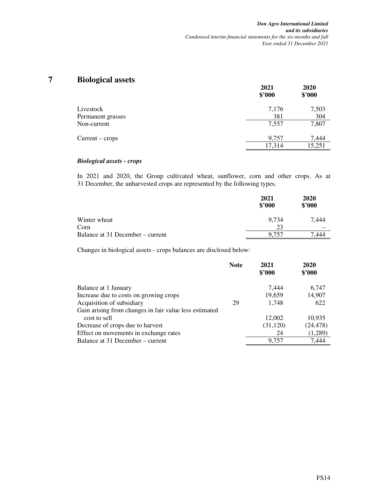### **7 Biological assets**

| o                 | 2021<br>\$'000 | 2020<br>\$'000 |
|-------------------|----------------|----------------|
| Livestock         | 7,176          | 7,503          |
| Permanent grasses | 381            | 304            |
| Non-current       | 7,557          | 7,807          |
| $Current - crops$ | 9,757          | 7,444          |
|                   | 17,314         | 15,251         |

#### *Biological assets - crops*

In 2021 and 2020, the Group cultivated wheat, sunflower, corn and other crops. As at 31 December, the unharvested crops are represented by the following types.

|                                  | 2021<br>\$'000 | 2020<br>\$2000 |
|----------------------------------|----------------|----------------|
| Winter wheat                     | 9.734          | 7.444          |
| Corn                             | 23             |                |
| Balance at 31 December – current | 9.757          | 444            |

Changes in biological assets - crops balances are disclosed below:

|                                                        | <b>Note</b> | 2021<br>\$3000 | 2020<br>\$3000 |
|--------------------------------------------------------|-------------|----------------|----------------|
| Balance at 1 January                                   |             | 7.444          | 6,747          |
| Increase due to costs on growing crops                 |             | 19,659         | 14,907         |
| Acquisition of subsidiary                              | 29          | 1.748          | 622            |
| Gain arising from changes in fair value less estimated |             |                |                |
| cost to sell                                           |             | 12,002         | 10,935         |
| Decrease of crops due to harvest                       |             | (31, 120)      | (24, 478)      |
| Effect on movements in exchange rates                  |             | 24             | (1,289)        |
| Balance at 31 December – current                       |             | 9.757          | 7.444          |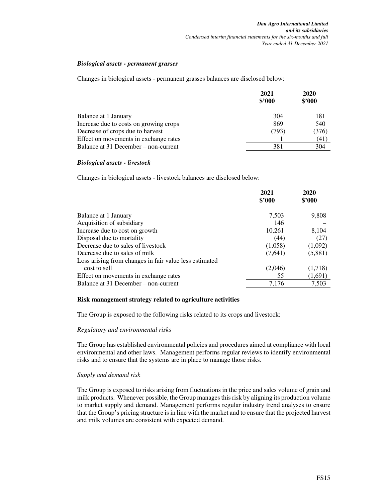#### *Biological assets - permanent grasses*

Changes in biological assets - permanent grasses balances are disclosed below:

|                                        | 2021<br>\$3000 | 2020<br>\$'000 |
|----------------------------------------|----------------|----------------|
| Balance at 1 January                   | 304            | 181            |
| Increase due to costs on growing crops | 869            | 540            |
| Decrease of crops due to harvest       | (793)          | (376)          |
| Effect on movements in exchange rates  |                | (41)           |
| Balance at 31 December – non-current   | 381            | 304            |

#### *Biological assets - livestock*

Changes in biological assets - livestock balances are disclosed below:

|                                                        | 2021<br>\$3000 | 2020<br>\$'000 |
|--------------------------------------------------------|----------------|----------------|
|                                                        |                |                |
| Balance at 1 January                                   | 7,503          | 9,808          |
| Acquisition of subsidiary                              | 146            |                |
| Increase due to cost on growth                         | 10,261         | 8,104          |
| Disposal due to mortality                              | (44)           | (27)           |
| Decrease due to sales of livestock                     | (1,058)        | (1,092)        |
| Decrease due to sales of milk                          | (7,641)        | (5,881)        |
| Loss arising from changes in fair value less estimated |                |                |
| cost to sell                                           | (2,046)        | (1,718)        |
| Effect on movements in exchange rates                  | 55             | (1,691)        |
| Balance at 31 December – non-current                   | 7,176          | 7,503          |

#### **Risk management strategy related to agriculture activities**

The Group is exposed to the following risks related to its crops and livestock:

#### *Regulatory and environmental risks*

The Group has established environmental policies and procedures aimed at compliance with local environmental and other laws. Management performs regular reviews to identify environmental risks and to ensure that the systems are in place to manage those risks.

#### *Supply and demand risk*

The Group is exposed to risks arising from fluctuations in the price and sales volume of grain and milk products. Whenever possible, the Group manages this risk by aligning its production volume to market supply and demand. Management performs regular industry trend analyses to ensure that the Group's pricing structure is in line with the market and to ensure that the projected harvest and milk volumes are consistent with expected demand.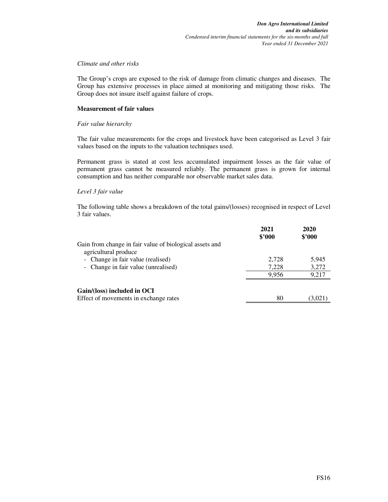#### *Climate and other risks*

The Group's crops are exposed to the risk of damage from climatic changes and diseases. The Group has extensive processes in place aimed at monitoring and mitigating those risks. The Group does not insure itself against failure of crops.

#### **Measurement of fair values**

#### *Fair value hierarchy*

The fair value measurements for the crops and livestock have been categorised as Level 3 fair values based on the inputs to the valuation techniques used.

Permanent grass is stated at cost less accumulated impairment losses as the fair value of permanent grass cannot be measured reliably. The permanent grass is grown for internal consumption and has neither comparable nor observable market sales data.

#### *Level 3 fair value*

The following table shows a breakdown of the total gains/(losses) recognised in respect of Level 3 fair values.

|                                                                                 | 2021<br>\$3000 | 2020<br>\$'000 |
|---------------------------------------------------------------------------------|----------------|----------------|
| Gain from change in fair value of biological assets and<br>agricultural produce |                |                |
| - Change in fair value (realised)                                               | 2,728          | 5,945          |
| - Change in fair value (unrealised)                                             | 7,228          | 3,272          |
|                                                                                 | 9,956          | 9,217          |
| Gain/(loss) included in OCI                                                     |                |                |
| Effect of movements in exchange rates                                           | 80             | (3,021)        |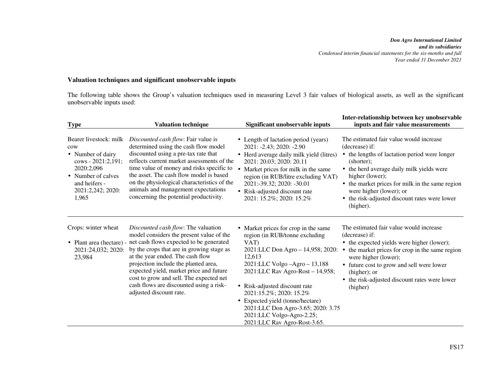*Don Agro International Limited and its subsidiaries Condensed interim financial statements for the six-months and full Year ended 31 December 2021*

#### **Valuation techniques and significant unobservable inputs**

The following table shows the Group's valuation techniques used in measuring Level 3 fair values of biological assets, as well as the significant unobservable inputs used:

| <b>Type</b>                                                                                                                                                 | <b>Valuation technique</b>                                                                                                                                                                                                                                                                                                                                                                                      | Significant unobservable inputs                                                                                                                                                                                                                                                                                                                                                                       | Inter-relationship between key unobservable<br>inputs and fair value measurements                                                                                                                                                                                                                                                    |
|-------------------------------------------------------------------------------------------------------------------------------------------------------------|-----------------------------------------------------------------------------------------------------------------------------------------------------------------------------------------------------------------------------------------------------------------------------------------------------------------------------------------------------------------------------------------------------------------|-------------------------------------------------------------------------------------------------------------------------------------------------------------------------------------------------------------------------------------------------------------------------------------------------------------------------------------------------------------------------------------------------------|--------------------------------------------------------------------------------------------------------------------------------------------------------------------------------------------------------------------------------------------------------------------------------------------------------------------------------------|
| Bearer livestock: milk<br>cow<br>• Number of dairy<br>cows - 2021:2,191;<br>2020:2,096<br>• Number of calves<br>and heifers -<br>2021:2,242; 2020:<br>1,965 | Discounted cash flow: Fair value is<br>determined using the cash flow model<br>discounted using a pre-tax rate that<br>reflects current market assessments of the<br>time value of money and risks specific to<br>the asset. The cash flow model is based<br>on the physiological characteristics of the<br>animals and management expectations<br>concerning the potential productivity.                       | • Length of lactation period (years)<br>2021: -2.43; 2020: -2.90<br>• Herd average daily milk yield (litres)<br>2021: 20.03; 2020: 20.11<br>Market prices for milk in the same<br>region (in RUB/litre excluding VAT)<br>2021:-39.32; 2020: -30.01<br>• Risk-adjusted discount rate<br>2021: 15.2%; 2020: 15.2%                                                                                       | The estimated fair value would increase<br>(decrease) if:<br>• the lengths of lactation period were longer<br>(shorter);<br>• the herd average daily milk yields were<br>higher (lower);<br>• the market prices for milk in the same region<br>were higher (lower); or<br>• the risk-adjusted discount rates were lower<br>(higher). |
| Crops: winter wheat<br>• Plant area (hectare) -<br>2021:24,032; 2020:<br>23,984                                                                             | Discounted cash flow: The valuation<br>model considers the present value of the<br>net cash flows expected to be generated<br>by the crops that are in growing stage as<br>at the year ended. The cash flow<br>projection include the planted area,<br>expected yield, market price and future<br>cost to grow and sell. The expected net<br>cash flows are discounted using a risk-<br>adjusted discount rate. | • Market prices for crop in the same<br>region (in RUB/tonne excluding<br>VAT)<br>2021:LLC Don Agro - 14,958; 2020:<br>12,613<br>2021:LLC Volgo -Agro - 13,188<br>2021:LLC Rav Agro-Rost - 14,958;<br>• Risk-adjusted discount rate<br>2021:15.2%; 2020: 15.2%<br>• Expected yield (tonne/hectare)<br>2021:LLC Don Agro-3.65; 2020: 3.75<br>2021:LLC Volgo-Agro-2.25;<br>2021:LLC Rav Agro-Rost-3.65. | The estimated fair value would increase<br>(decrease) if:<br>• the expected yields were higher (lower);<br>the market prices for crop in the same region<br>$\bullet$<br>were higher (lower);<br>• future cost to grow and sell were lower<br>(higher); or<br>• the risk-adjusted discount rates were lower<br>(higher)              |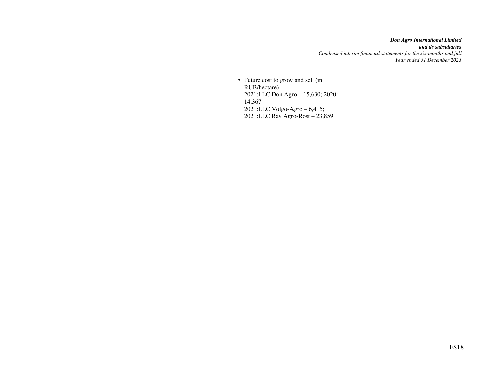*Don Agro International Limited and its subsidiaries Condensed interim financial statements for the six-months and full Year ended 31 December 2021*

• Future cost to grow and sell (in RUB/hectare) 2021:LLC Don Agro – 15,630; 2020: 14,367 2021:LLC Volgo-Agro – 6,415; 2021:LLC Rav Agro-Rost – 23,859.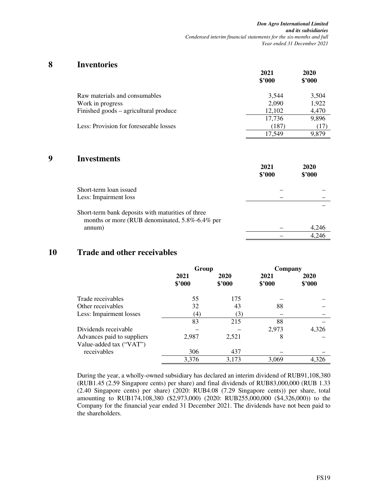### **8 Inventories**

|                                        | 2021<br>\$3000 | 2020<br>\$'000 |
|----------------------------------------|----------------|----------------|
| Raw materials and consumables          | 3,544          | 3,504          |
| Work in progress                       | 2,090          | 1,922          |
| Finished goods – agricultural produce  | 12,102         | 4,470          |
|                                        | 17,736         | 9,896          |
| Less: Provision for foreseeable losses | (187)          | (17)           |
|                                        | 17.549         | 9.879          |

### **9 Investments**

|                                                                                                     | 2021<br>\$'000 | 2020<br>\$'000 |
|-----------------------------------------------------------------------------------------------------|----------------|----------------|
| Short-term loan issued                                                                              |                |                |
| Less: Impairment loss                                                                               |                |                |
| Short-term bank deposits with maturities of three<br>months or more (RUB denominated, 5.8%-6.4% per |                |                |
| annum)                                                                                              |                | 4,246          |
|                                                                                                     |                | 4.246          |

### **10 Trade and other receivables**

|                                                       | Group             |                | Company        |                |
|-------------------------------------------------------|-------------------|----------------|----------------|----------------|
|                                                       | 2021<br>\$3000    | 2020<br>\$2000 | 2021<br>\$3000 | 2020<br>\$3000 |
| Trade receivables                                     | 55                | 175            |                |                |
| Other receivables                                     | 32                | 43             | 88             |                |
| Less: Impairment losses                               | $\left( 4\right)$ | (3)            |                |                |
|                                                       | 83                | 215            | 88             |                |
| Dividends receivable                                  |                   |                | 2,973          | 4,326          |
| Advances paid to suppliers<br>Value-added tax ("VAT") | 2,987             | 2,521          | 8              |                |
| receivables                                           | 306               | 437            |                |                |
|                                                       | 3,376             | 3,173          | 3,069          | 4.326          |

During the year, a wholly-owned subsidiary has declared an interim dividend of RUB91,108,380 (RUB1.45 (2.59 Singapore cents) per share) and final dividends of RUB83,000,000 (RUB 1.33 (2.40 Singapore cents) per share) (2020: RUB4.08 (7.29 Singapore cents)) per share, total amounting to RUB174,108,380 (\$2,973,000) (2020: RUB255,000,000 (\$4,326,000)) to the Company for the financial year ended 31 December 2021. The dividends have not been paid to the shareholders.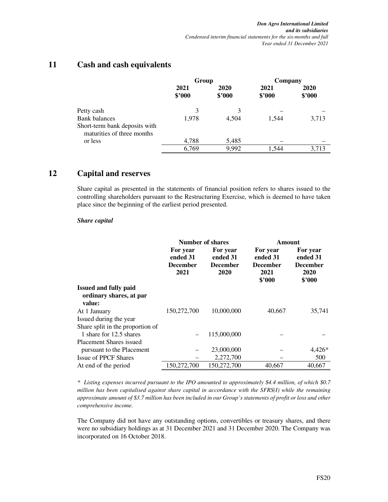### **11 Cash and cash equivalents**

|                                                             | Group          |                | Company        |                |
|-------------------------------------------------------------|----------------|----------------|----------------|----------------|
|                                                             | 2021<br>\$2000 | 2020<br>\$2000 | 2021<br>\$'000 | 2020<br>\$'000 |
| Petty cash                                                  | 3              | 3              |                |                |
| <b>Bank balances</b>                                        | 1,978          | 4.504          | 1,544          | 3,713          |
| Short-term bank deposits with<br>maturities of three months |                |                |                |                |
| or less                                                     | 4,788          | 5,485          |                |                |
|                                                             | 6,769          | 9,992          | 1.544          | 3.713          |

### **12 Capital and reserves**

Share capital as presented in the statements of financial position refers to shares issued to the controlling shareholders pursuant to the Restructuring Exercise, which is deemed to have taken place since the beginning of the earliest period presented.

#### *Share capital*

|                                                                   |                                                 | Number of shares                                | Amount                                                    |                                                           |  |
|-------------------------------------------------------------------|-------------------------------------------------|-------------------------------------------------|-----------------------------------------------------------|-----------------------------------------------------------|--|
|                                                                   | For year<br>ended 31<br><b>December</b><br>2021 | For year<br>ended 31<br><b>December</b><br>2020 | For year<br>ended 31<br><b>December</b><br>2021<br>\$'000 | For year<br>ended 31<br><b>December</b><br>2020<br>\$'000 |  |
| <b>Issued and fully paid</b><br>ordinary shares, at par<br>value: |                                                 |                                                 |                                                           |                                                           |  |
| At 1 January                                                      | 150,272,700                                     | 10,000,000                                      | 40,667                                                    | 35,741                                                    |  |
| Issued during the year                                            |                                                 |                                                 |                                                           |                                                           |  |
| Share split in the proportion of                                  |                                                 |                                                 |                                                           |                                                           |  |
| 1 share for 12.5 shares                                           |                                                 | 115,000,000                                     |                                                           |                                                           |  |
| Placement Shares issued                                           |                                                 |                                                 |                                                           |                                                           |  |
| pursuant to the Placement                                         |                                                 | 23,000,000                                      |                                                           | $4,426*$                                                  |  |
| <b>Issue of PPCF Shares</b>                                       |                                                 | 2,272,700                                       |                                                           | 500                                                       |  |
| At end of the period                                              | 150,272,700                                     | 150,272,700                                     | 40,667                                                    | 40,667                                                    |  |

*\* Listing expenses incurred pursuant to the IPO amounted to approximately \$4.4 million, of which \$0.7 million has been capitalised against share capital in accordance with the SFRS(I) while the remaining approximate amount of \$3.7 million has been included in our Group's statements of profit or loss and other comprehensive income.* 

The Company did not have any outstanding options, convertibles or treasury shares, and there were no subsidiary holdings as at 31 December 2021 and 31 December 2020. The Company was incorporated on 16 October 2018.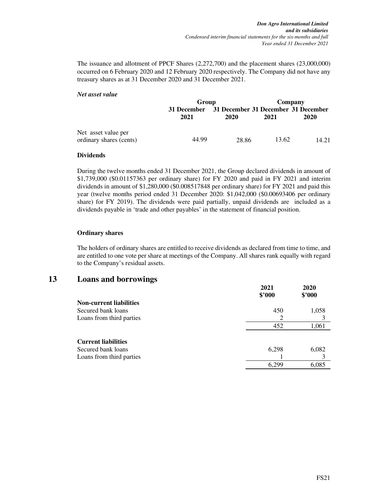The issuance and allotment of PPCF Shares (2,272,700) and the placement shares (23,000,000) occurred on 6 February 2020 and 12 February 2020 respectively. The Company did not have any treasury shares as at 31 December 2020 and 31 December 2021.

#### *Net asset value*

|                                                | Group       |                                     | Company |       |  |
|------------------------------------------------|-------------|-------------------------------------|---------|-------|--|
|                                                | 31 December | 31 December 31 December 31 December |         |       |  |
|                                                | 2021        | 2020                                | 2021    | 2020  |  |
| Net asset value per<br>ordinary shares (cents) | 44.99       | 28.86                               | 13.62   | 14.21 |  |

#### **Dividends**

During the twelve months ended 31 December 2021, the Group declared dividends in amount of \$1,739,000 (\$0.01157363 per ordinary share) for FY 2020 and paid in FY 2021 and interim dividends in amount of \$1,280,000 (\$0.008517848 per ordinary share) for FY 2021 and paid this year (twelve months period ended 31 December 2020: \$1,042,000 (\$0.00693406 per ordinary share) for FY 2019). The dividends were paid partially, unpaid dividends are included as a dividends payable in 'trade and other payables' in the statement of financial position.

#### **Ordinary shares**

The holders of ordinary shares are entitled to receive dividends as declared from time to time, and are entitled to one vote per share at meetings of the Company. All shares rank equally with regard to the Company's residual assets.

### **13 Loans and borrowings**

|                                | 2021<br>\$'000 | 2020<br>\$'000 |
|--------------------------------|----------------|----------------|
| <b>Non-current liabilities</b> |                |                |
| Secured bank loans             | 450            | 1,058          |
| Loans from third parties       | 2              |                |
|                                | 452            | 1,061          |
|                                |                |                |
| <b>Current liabilities</b>     |                |                |
| Secured bank loans             | 6,298          | 6,082          |
| Loans from third parties       |                |                |
|                                | 6.299          | 6,085          |
|                                |                |                |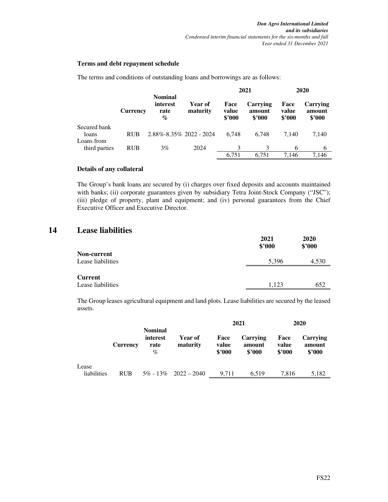#### **Terms and debt repayment schedule**

The terms and conditions of outstanding loans and borrowings are as follows:

|               |                 |                                            |                     |                         |                              | 2021                    |                              | 2020 |  |
|---------------|-----------------|--------------------------------------------|---------------------|-------------------------|------------------------------|-------------------------|------------------------------|------|--|
|               | <b>Currency</b> | <b>Nominal</b><br>interest<br>rate<br>$\%$ | Year of<br>maturity | Face<br>value<br>\$2000 | Carrying<br>amount<br>\$2000 | Face<br>value<br>\$2000 | Carrying<br>amount<br>\$3000 |      |  |
| Secured bank  |                 |                                            |                     |                         |                              |                         |                              |      |  |
| loans         | <b>RUB</b>      | 2.88%-8.35% 2022 - 2024                    |                     | 6.748                   | 6.748                        | 7.140                   | 7,140                        |      |  |
| Loans from    |                 |                                            |                     |                         |                              |                         |                              |      |  |
| third parties | <b>RUB</b>      | 3%                                         | 2024                | 3                       | 3                            | 6                       | 6                            |      |  |
|               |                 |                                            |                     | 6,751                   | 6.751                        | 7.146                   | 7.146                        |      |  |

#### **Details of any collateral**

The Group's bank loans are secured by (i) charges over fixed deposits and accounts maintained with banks; (ii) corporate guarantees given by subsidiary Tetra Joint-Stock Company ("JSC"); (iii) pledge of property, plant and equipment; and (iv) personal guarantees from the Chief Executive Officer and Executive Director.

### **14 Lease liabilities**

|                    | 2021<br>\$'000 | 2020<br>\$'000 |
|--------------------|----------------|----------------|
| <b>Non-current</b> |                |                |
| Lease liabilities  | 5,396          | 4,530          |
|                    |                |                |
| Current            |                |                |
| Lease liabilities  | 1.123          | 652            |

The Group leases agricultural equipment and land plots. Lease liabilities are secured by the leased assets.

|             |                 |                                            |                            |                         | 2021                         |                         | 2020                                |
|-------------|-----------------|--------------------------------------------|----------------------------|-------------------------|------------------------------|-------------------------|-------------------------------------|
|             | <b>Currency</b> | <b>Nominal</b><br>interest<br>rate<br>$\%$ | Year of<br>maturity        | Face<br>value<br>\$2000 | Carrying<br>amount<br>\$2000 | Face<br>value<br>\$2000 | <b>Carrying</b><br>amount<br>\$2000 |
| Lease       |                 |                                            |                            |                         |                              |                         |                                     |
| liabilities | <b>RUB</b>      |                                            | $5\% - 13\% - 2022 - 2040$ | 9.711                   | 6.519                        | 7.816                   | 5,182                               |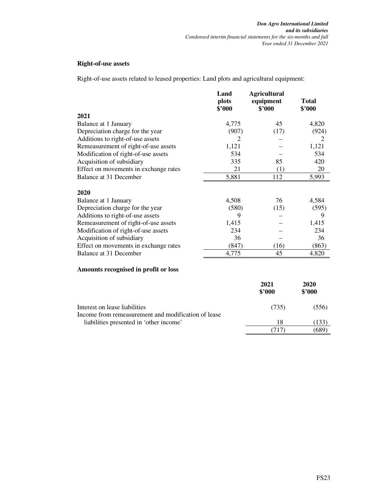#### **Right-of-use assets**

Right-of-use assets related to leased properties: Land plots and agricultural equipment:

|                                       | Land<br>plots<br>\$'000 | <b>Agricultural</b><br>equipment<br>\$'000 | <b>Total</b><br>\$3000 |
|---------------------------------------|-------------------------|--------------------------------------------|------------------------|
| 2021                                  |                         |                                            |                        |
| Balance at 1 January                  | 4,775                   | 45                                         | 4,820                  |
| Depreciation charge for the year      | (907)                   | (17)                                       | (924)                  |
| Additions to right-of-use assets      | 2                       |                                            | 2                      |
| Remeasurement of right-of-use assets  | 1,121                   |                                            | 1,121                  |
| Modification of right-of-use assets   | 534                     |                                            | 534                    |
| Acquisition of subsidiary             | 335                     | 85                                         | 420                    |
| Effect on movements in exchange rates | 21                      | (1)                                        | 20                     |
| Balance at 31 December                | 5,881                   | 112                                        | 5,993                  |
| 2020                                  |                         |                                            |                        |
| Balance at 1 January                  | 4,508                   | 76                                         | 4,584                  |
| Depreciation charge for the year      | (580)                   | (15)                                       | (595)                  |
| Additions to right-of-use assets      | 9                       |                                            | 9                      |
| Remeasurement of right-of-use assets  | 1,415                   |                                            | 1,415                  |
| Modification of right-of-use assets   | 234                     |                                            | 234                    |
| Acquisition of subsidiary             | 36                      |                                            | 36                     |
| Effect on movements in exchange rates | (847)                   | (16)                                       | (863)                  |
| Balance at 31 December                | 4,775                   | 45                                         | 4,820                  |
| Amounts recognised in profit or loss  |                         |                                            |                        |

|                                                                                      | 2021<br>\$3000 | 2020<br>\$'000 |
|--------------------------------------------------------------------------------------|----------------|----------------|
| Interest on lease liabilities<br>Income from remeasurement and modification of lease | (735)          | (556)          |
| liabilities presented in 'other income'                                              | 18             | (133)          |
|                                                                                      |                | 689            |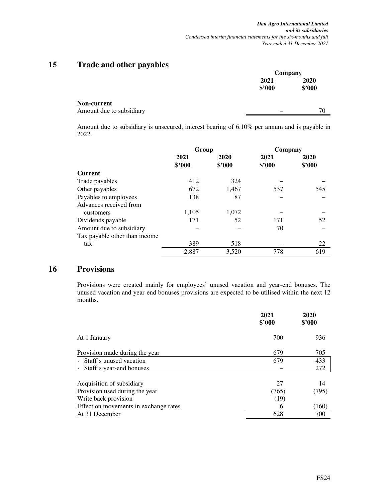### **15 Trade and other payables**

|                                                |                | Company        |  |  |
|------------------------------------------------|----------------|----------------|--|--|
|                                                | 2021<br>\$'000 | 2020<br>\$'000 |  |  |
| <b>Non-current</b><br>Amount due to subsidiary |                | 70             |  |  |

Amount due to subsidiary is unsecured, interest bearing of 6.10% per annum and is payable in 2022.

|                               | Group  |        | Company |        |  |
|-------------------------------|--------|--------|---------|--------|--|
|                               | 2021   | 2020   | 2021    | 2020   |  |
|                               | \$3000 | \$2000 | \$3000  | \$'000 |  |
| <b>Current</b>                |        |        |         |        |  |
| Trade payables                | 412    | 324    |         |        |  |
| Other payables                | 672    | 1,467  | 537     | 545    |  |
| Payables to employees         | 138    | 87     |         |        |  |
| Advances received from        |        |        |         |        |  |
| customers                     | 1,105  | 1,072  |         |        |  |
| Dividends payable             | 171    | 52     | 171     | 52     |  |
| Amount due to subsidiary      |        |        | 70      |        |  |
| Tax payable other than income |        |        |         |        |  |
| tax                           | 389    | 518    |         | 22     |  |
|                               | 2,887  | 3,520  | 778     | 619    |  |

### **16 Provisions**

Provisions were created mainly for employees' unused vacation and year-end bonuses. The unused vacation and year-end bonuses provisions are expected to be utilised within the next 12 months.

|                                       | 2021<br>\$3000 | 2020<br>\$'000 |
|---------------------------------------|----------------|----------------|
| At 1 January                          | 700            | 936            |
| Provision made during the year        | 679            | 705            |
| Staff's unused vacation<br>H.         | 679            | 433            |
| Staff's year-end bonuses<br>l-        |                | 272            |
| Acquisition of subsidiary             | 27             | 14             |
| Provision used during the year        | (765)          | (795)          |
| Write back provision                  | (19)           |                |
| Effect on movements in exchange rates | 6              | (160)          |
| At 31 December                        | 628            | 700            |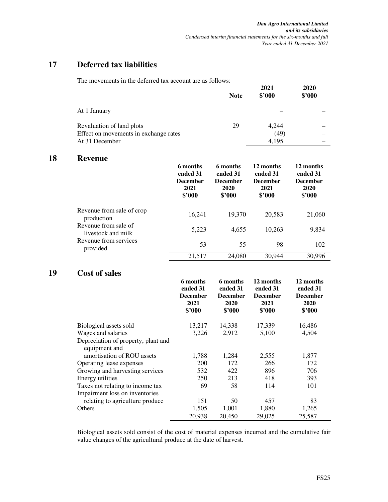### **17 Deferred tax liabilities**

The movements in the deferred tax account are as follows:

|                                                                    | <b>Note</b> | 2021<br>\$3000 | 2020<br>\$'000 |
|--------------------------------------------------------------------|-------------|----------------|----------------|
| At 1 January                                                       |             |                |                |
| Revaluation of land plots<br>Effect on movements in exchange rates | 29          | 4,244<br>(49)  |                |
| At 31 December                                                     |             | 4.195          |                |

### **18 Revenue**

|                                            | 6 months<br>ended 31<br><b>December</b><br>2021<br>\$2000 | 6 months<br>ended 31<br><b>December</b><br>2020<br>\$3000 | 12 months<br>ended 31<br><b>December</b><br>2021<br>\$3000 | 12 months<br>ended 31<br><b>December</b><br>2020<br>\$'000 |
|--------------------------------------------|-----------------------------------------------------------|-----------------------------------------------------------|------------------------------------------------------------|------------------------------------------------------------|
| Revenue from sale of crop<br>production    | 16,241                                                    | 19,370                                                    | 20,583                                                     | 21,060                                                     |
| Revenue from sale of<br>livestock and milk | 5,223                                                     | 4,655                                                     | 10,263                                                     | 9,834                                                      |
| Revenue from services<br>provided          | 53                                                        | 55                                                        | 98                                                         | 102                                                        |
|                                            | 21,517                                                    | 24,080                                                    | 30,944                                                     | 30,996                                                     |

### **19 Cost of sales**

|                                                      | 6 months<br>ended 31<br><b>December</b><br>2021<br>\$'000 | 6 months<br>ended 31<br><b>December</b><br>2020<br>$$^{\prime}000$ | 12 months<br>ended 31<br><b>December</b><br>2021<br>\$3000 | 12 months<br>ended 31<br><b>December</b><br>2020<br>\$'000 |
|------------------------------------------------------|-----------------------------------------------------------|--------------------------------------------------------------------|------------------------------------------------------------|------------------------------------------------------------|
| Biological assets sold                               | 13,217                                                    | 14,338                                                             | 17,339                                                     | 16,486                                                     |
| Wages and salaries                                   | 3,226                                                     | 2,912                                                              | 5,100                                                      | 4,504                                                      |
| Depreciation of property, plant and<br>equipment and |                                                           |                                                                    |                                                            |                                                            |
| amortisation of ROU assets                           | 1,788                                                     | 1,284                                                              | 2,555                                                      | 1,877                                                      |
| Operating lease expenses                             | <b>200</b>                                                | 172                                                                | 266                                                        | 172                                                        |
| Growing and harvesting services                      | 532                                                       | 422                                                                | 896                                                        | 706                                                        |
| Energy utilities                                     | 250                                                       | 213                                                                | 418                                                        | 393                                                        |
| Taxes not relating to income tax                     | 69                                                        | 58                                                                 | 114                                                        | 101                                                        |
| Impairment loss on inventories                       |                                                           |                                                                    |                                                            |                                                            |
| relating to agriculture produce                      | 151                                                       | 50                                                                 | 457                                                        | 83                                                         |
| Others                                               | 1,505                                                     | 1,001                                                              | 1,880                                                      | 1,265                                                      |
|                                                      | 20,938                                                    | 20,450                                                             | 29,025                                                     | 25,587                                                     |

Biological assets sold consist of the cost of material expenses incurred and the cumulative fair value changes of the agricultural produce at the date of harvest.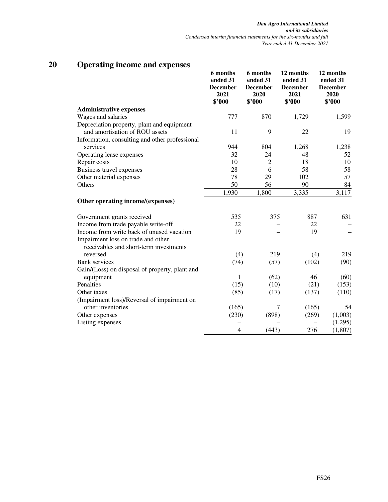|                                                                                                                           | 6 months<br>ended 31<br><b>December</b><br>2021<br>\$'000 | 6 months<br>ended 31<br><b>December</b><br>2020<br>\$'000 | 12 months<br>ended 31<br><b>December</b><br>2021<br>\$'000 | 12 months<br>ended 31<br><b>December</b><br>2020<br>\$'000 |
|---------------------------------------------------------------------------------------------------------------------------|-----------------------------------------------------------|-----------------------------------------------------------|------------------------------------------------------------|------------------------------------------------------------|
| <b>Administrative expenses</b>                                                                                            |                                                           |                                                           |                                                            |                                                            |
| Wages and salaries                                                                                                        | 777                                                       | 870                                                       | 1,729                                                      | 1,599                                                      |
| Depreciation property, plant and equipment<br>and amortisation of ROU assets                                              | 11                                                        | 9                                                         | 22                                                         | 19                                                         |
| Information, consulting and other professional                                                                            |                                                           |                                                           |                                                            |                                                            |
| services                                                                                                                  | 944                                                       | 804                                                       | 1,268                                                      | 1,238                                                      |
| Operating lease expenses                                                                                                  | 32                                                        | 24                                                        | 48                                                         | 52                                                         |
| Repair costs                                                                                                              | 10                                                        | $\overline{2}$                                            | 18                                                         | 10                                                         |
| Business travel expenses                                                                                                  | 28                                                        | 6                                                         | 58                                                         | 58                                                         |
| Other material expenses                                                                                                   | 78                                                        | 29                                                        | 102                                                        | 57                                                         |
| Others                                                                                                                    | 50<br>1,930                                               | 56<br>1,800                                               | 90<br>3,335                                                | 84<br>3,117                                                |
| Other operating income/(expenses)                                                                                         |                                                           |                                                           |                                                            |                                                            |
| Government grants received                                                                                                | 535                                                       | 375                                                       | 887                                                        | 631                                                        |
| Income from trade payable write-off                                                                                       | 22                                                        |                                                           | 22                                                         |                                                            |
| Income from write back of unused vacation<br>Impairment loss on trade and other<br>receivables and short-term investments | 19                                                        |                                                           | 19                                                         |                                                            |
| reversed                                                                                                                  | (4)                                                       | 219                                                       | (4)                                                        | 219                                                        |
| <b>Bank</b> services                                                                                                      | (74)                                                      | (57)                                                      | (102)                                                      | (90)                                                       |
| Gain/(Loss) on disposal of property, plant and                                                                            |                                                           |                                                           |                                                            |                                                            |
| equipment                                                                                                                 | 1                                                         | (62)                                                      | 46                                                         | (60)                                                       |
| Penalties                                                                                                                 | (15)                                                      | (10)                                                      | (21)                                                       | (153)                                                      |
| Other taxes                                                                                                               | (85)                                                      | (17)                                                      | (137)                                                      | (110)                                                      |
| (Impairment loss)/Reversal of impairment on                                                                               |                                                           |                                                           |                                                            |                                                            |
| other inventories                                                                                                         | (165)                                                     | $\tau$                                                    | (165)                                                      | 54                                                         |
| Other expenses                                                                                                            | (230)                                                     | (898)                                                     | (269)                                                      | (1,003)                                                    |
| Listing expenses                                                                                                          |                                                           |                                                           |                                                            | (1,295)                                                    |
|                                                                                                                           | $\overline{4}$                                            | (443)                                                     | 276                                                        | (1, 807)                                                   |

## **20 Operating income and expenses**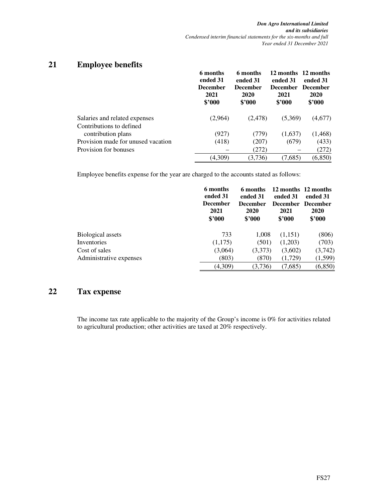### **21 Employee benefits**

|                                    | 6 months<br>ended 31<br><b>December</b><br>2021<br>\$2000 | 6 months<br>ended 31<br><b>December</b><br>2020<br>\$3000 | 12 months 12 months<br>ended 31<br><b>December</b><br>2021<br>\$2000 | ended 31<br><b>December</b><br>2020<br>\$'000 |
|------------------------------------|-----------------------------------------------------------|-----------------------------------------------------------|----------------------------------------------------------------------|-----------------------------------------------|
| Salaries and related expenses      | (2,964)                                                   | (2,478)                                                   | (5,369)                                                              | (4,677)                                       |
| Contributions to defined           |                                                           |                                                           |                                                                      |                                               |
| contribution plans                 | (927)                                                     | (779)                                                     | (1,637)                                                              | (1, 468)                                      |
| Provision made for unused vacation | (418)                                                     | (207)                                                     | (679)                                                                | (433)                                         |
| Provision for bonuses              |                                                           | (272)                                                     |                                                                      | (272)                                         |
|                                    | (4,309)                                                   | (3,736)                                                   | (7,685)                                                              | (6, 850)                                      |

Employee benefits expense for the year are charged to the accounts stated as follows:

|                          | 6 months<br>ended 31<br><b>December</b><br>2021<br>\$3000 | 6 months<br>ended 31<br><b>December</b><br>2020<br>\$3000 | ended 31<br>December December<br>2021<br>\$3000 | 12 months 12 months<br>ended 31<br>2020<br>\$2000 |
|--------------------------|-----------------------------------------------------------|-----------------------------------------------------------|-------------------------------------------------|---------------------------------------------------|
| <b>Biological assets</b> | 733                                                       | 1,008                                                     | (1,151)                                         | (806)                                             |
| Inventories              | (1,175)                                                   | (501)                                                     | (1,203)                                         | (703)                                             |
| Cost of sales            | (3,064)                                                   | (3,373)                                                   | (3,602)                                         | (3,742)                                           |
| Administrative expenses  | (803)                                                     | (870)                                                     | (1,729)                                         | (1,599)                                           |
|                          | (4,309)                                                   | (3,736)                                                   | (7,685)                                         | (6, 850)                                          |

### **22 Tax expense**

The income tax rate applicable to the majority of the Group's income is 0% for activities related to agricultural production; other activities are taxed at 20% respectively.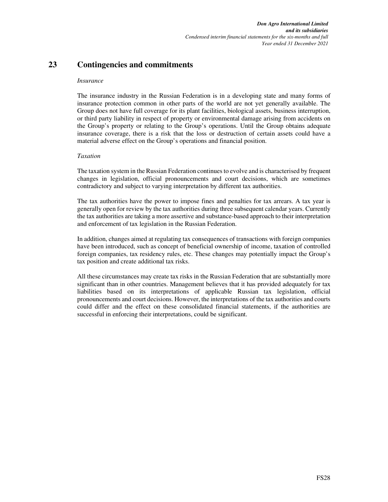### **23 Contingencies and commitments**

#### *Insurance*

The insurance industry in the Russian Federation is in a developing state and many forms of insurance protection common in other parts of the world are not yet generally available. The Group does not have full coverage for its plant facilities, biological assets, business interruption, or third party liability in respect of property or environmental damage arising from accidents on the Group's property or relating to the Group's operations. Until the Group obtains adequate insurance coverage, there is a risk that the loss or destruction of certain assets could have a material adverse effect on the Group's operations and financial position.

#### *Taxation*

The taxation system in the Russian Federation continues to evolve and is characterised by frequent changes in legislation, official pronouncements and court decisions, which are sometimes contradictory and subject to varying interpretation by different tax authorities.

The tax authorities have the power to impose fines and penalties for tax arrears. A tax year is generally open for review by the tax authorities during three subsequent calendar years. Currently the tax authorities are taking a more assertive and substance-based approach to their interpretation and enforcement of tax legislation in the Russian Federation.

In addition, changes aimed at regulating tax consequences of transactions with foreign companies have been introduced, such as concept of beneficial ownership of income, taxation of controlled foreign companies, tax residency rules, etc. These changes may potentially impact the Group's tax position and create additional tax risks.

All these circumstances may create tax risks in the Russian Federation that are substantially more significant than in other countries. Management believes that it has provided adequately for tax liabilities based on its interpretations of applicable Russian tax legislation, official pronouncements and court decisions. However, the interpretations of the tax authorities and courts could differ and the effect on these consolidated financial statements, if the authorities are successful in enforcing their interpretations, could be significant.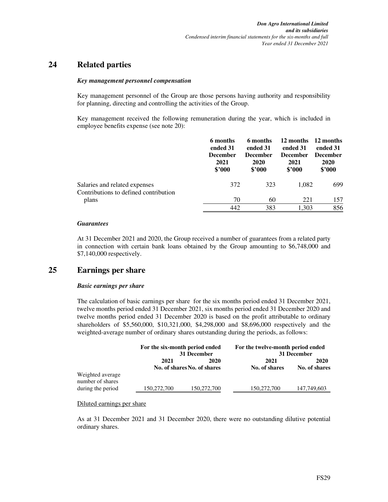### **24 Related parties**

#### *Key management personnel compensation*

Key management personnel of the Group are those persons having authority and responsibility for planning, directing and controlling the activities of the Group.

Key management received the following remuneration during the year, which is included in employee benefits expense (see note 20):

|                                                                        | 6 months<br>ended 31<br><b>December</b><br>2021<br>\$'000 | 6 months<br>ended 31<br><b>December</b><br>2020<br>\$2000 | 12 months<br>ended 31<br><b>December</b><br>2021<br>\$2000 | 12 months<br>ended 31<br><b>December</b><br>2020<br>\$'000 |
|------------------------------------------------------------------------|-----------------------------------------------------------|-----------------------------------------------------------|------------------------------------------------------------|------------------------------------------------------------|
| Salaries and related expenses<br>Contributions to defined contribution | 372                                                       | 323                                                       | 1,082                                                      | 699                                                        |
| plans                                                                  | 70                                                        | 60                                                        | 221                                                        | 157                                                        |
|                                                                        | 442                                                       | 383                                                       | 1.303                                                      | 856                                                        |

#### *Guarantees*

At 31 December 2021 and 2020, the Group received a number of guarantees from a related party in connection with certain bank loans obtained by the Group amounting to \$6,748,000 and \$7,140,000 respectively.

### **25 Earnings per share**

#### *Basic earnings per share*

The calculation of basic earnings per share for the six months period ended 31 December 2021, twelve months period ended 31 December 2021, six months period ended 31 December 2020 and twelve months period ended 31 December 2020 is based on the profit attributable to ordinary shareholders of \$5,560,000, \$10,321,000, \$4,298,000 and \$8,696,000 respectively and the weighted-average number of ordinary shares outstanding during the periods, as follows:

|                                      | For the six-month period ended<br>31 December |                                     | For the twelve-month period ended | 31 December           |
|--------------------------------------|-----------------------------------------------|-------------------------------------|-----------------------------------|-----------------------|
|                                      | 2021                                          | 2020<br>No. of shares No. of shares | 2021<br>No. of shares             | 2020<br>No. of shares |
| Weighted average<br>number of shares |                                               |                                     |                                   |                       |
| during the period                    | 150,272,700                                   | 150,272,700                         | 150,272,700                       | 147,749,603           |

Diluted earnings per share

As at 31 December 2021 and 31 December 2020, there were no outstanding dilutive potential ordinary shares.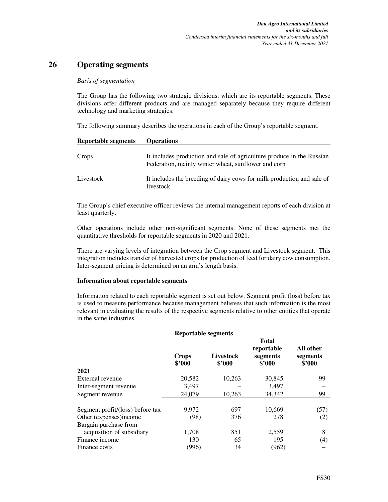### **26 Operating segments**

#### *Basis of segmentation*

The Group has the following two strategic divisions, which are its reportable segments. These divisions offer different products and are managed separately because they require different technology and marketing strategies.

The following summary describes the operations in each of the Group's reportable segment.

| <b>Reportable segments</b> | <b>Operations</b>                                                                                                            |
|----------------------------|------------------------------------------------------------------------------------------------------------------------------|
| Crops                      | It includes production and sale of agriculture produce in the Russian<br>Federation, mainly winter wheat, sunflower and corn |
| Livestock                  | It includes the breeding of dairy cows for milk production and sale of<br>livestock                                          |

The Group's chief executive officer reviews the internal management reports of each division at least quarterly.

Other operations include other non-significant segments. None of these segments met the quantitative thresholds for reportable segments in 2020 and 2021.

There are varying levels of integration between the Crop segment and Livestock segment. This integration includes transfer of harvested crops for production of feed for dairy cow consumption. Inter-segment pricing is determined on an arm's length basis.

#### **Information about reportable segments**

Information related to each reportable segment is set out below. Segment profit (loss) before tax is used to measure performance because management believes that such information is the most relevant in evaluating the results of the respective segments relative to other entities that operate in the same industries.

#### **Reportable segments**

**Total** 

| <b>Crops</b><br>\$2000 | <b>Livestock</b><br>\$3000 | 1 otal<br>reportable<br>segments<br>\$3000 | All other<br>segments<br>\$2000 |
|------------------------|----------------------------|--------------------------------------------|---------------------------------|
|                        |                            |                                            |                                 |
| 20,582                 | 10,263                     | 30,845                                     | 99                              |
| 3,497                  |                            | 3,497                                      |                                 |
| 24,079                 | 10,263                     | 34,342                                     | 99                              |
| 9.972                  | 697                        | 10,669                                     | (57)                            |
| (98)                   | 376                        | 278                                        | (2)                             |
|                        |                            |                                            |                                 |
| 1,708                  | 851                        | 2,559                                      | 8                               |
| 130                    | 65                         | 195                                        | (4)                             |
| (996)                  | 34                         | (962)                                      |                                 |
|                        |                            |                                            |                                 |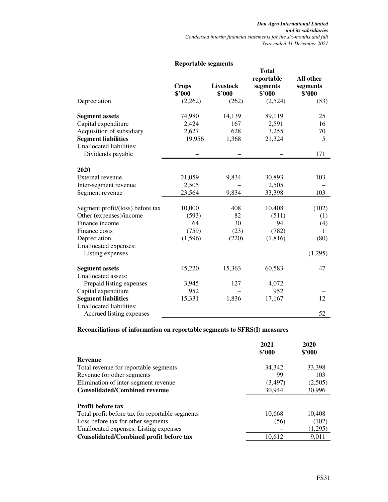|                                                        | iwpoi taon segments    |                            |                                                  |                                 |
|--------------------------------------------------------|------------------------|----------------------------|--------------------------------------------------|---------------------------------|
|                                                        | <b>Crops</b><br>\$'000 | <b>Livestock</b><br>\$'000 | <b>Total</b><br>reportable<br>segments<br>\$'000 | All other<br>segments<br>\$'000 |
| Depreciation                                           | (2,262)                | (262)                      | (2,524)                                          | (53)                            |
| <b>Segment assets</b>                                  | 74,980                 | 14,139                     | 89,119                                           | 25                              |
| Capital expenditure                                    | 2,424                  | 167                        | 2,591                                            | 16                              |
| Acquisition of subsidiary                              | 2,627                  | 628                        | 3,255                                            | 70                              |
| <b>Segment liabilities</b><br>Unallocated liabilities: | 19,956                 | 1,368                      | 21,324                                           | 5                               |
| Dividends payable                                      |                        |                            |                                                  | 171                             |
| 2020                                                   |                        |                            |                                                  |                                 |
| External revenue                                       | 21,059                 | 9,834                      | 30,893                                           | 103                             |
| Inter-segment revenue                                  | 2,505                  |                            | 2,505                                            |                                 |
| Segment revenue                                        | 23,564                 | 9,834                      | 33,398                                           | 103                             |
| Segment profit/(loss) before tax                       | 10,000                 | 408                        | 10,408                                           | (102)                           |
| Other (expenses)/income                                | (593)                  | 82                         | (511)                                            | (1)                             |
| Finance income                                         | 64                     | 30                         | 94                                               | (4)                             |
| Finance costs                                          | (759)                  | (23)                       | (782)                                            | 1                               |
| Depreciation                                           | (1,596)                | (220)                      | (1, 816)                                         | (80)                            |
| Unallocated expenses:<br>Listing expenses              |                        |                            |                                                  | (1,295)                         |
| <b>Segment assets</b>                                  | 45,220                 | 15,363                     | 60,583                                           | 47                              |
| Unallocated assets:                                    |                        |                            |                                                  |                                 |
| Prepaid listing expenses                               | 3,945                  | 127                        | 4,072                                            |                                 |
| Capital expenditure                                    | 952                    |                            | 952                                              |                                 |
| <b>Segment liabilities</b>                             | 15,331                 | 1,836                      | 17,167                                           | 12                              |
| Unallocated liabilities:                               |                        |                            |                                                  |                                 |
| Accrued listing expenses                               |                        |                            |                                                  | 52                              |

### **Reportable segments**

### **Reconciliations of information on reportable segments to SFRS(I) measures**

|                                                 | 2021<br>\$3000 | 2020<br>\$3000 |
|-------------------------------------------------|----------------|----------------|
| Revenue                                         |                |                |
| Total revenue for reportable segments           | 34,342         | 33,398         |
| Revenue for other segments                      | 99             | 103            |
| Elimination of inter-segment revenue            | (3, 497)       | (2,505)        |
| <b>Consolidated/Combined revenue</b>            | 30,944         | 30,996         |
| <b>Profit before tax</b>                        |                |                |
| Total profit before tax for reportable segments | 10,668         | 10,408         |
| Loss before tax for other segments              | (56)           | (102)          |
| Unallocated expenses: Listing expenses          |                | (1,295)        |
| Consolidated/Combined profit before tax         | 10.612         | 9.011          |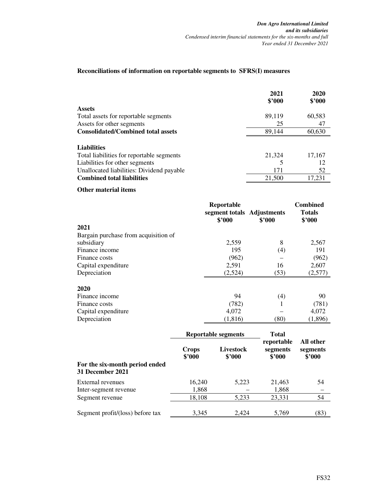#### **Reconciliations of information on reportable segments to SFRS(I) measures**

|                                           | 2021   | 2020   |
|-------------------------------------------|--------|--------|
|                                           | \$2000 | \$3000 |
| <b>Assets</b>                             |        |        |
| Total assets for reportable segments      | 89,119 | 60,583 |
| Assets for other segments                 | 25     | 47     |
| <b>Consolidated/Combined total assets</b> | 89.144 | 60,630 |
| <b>Liabilities</b>                        |        |        |
| Total liabilities for reportable segments | 21,324 | 17,167 |
| Liabilities for other segments            |        | 12     |
| Unallocated liabilities: Dividend payable | 171    | 52     |
| <b>Combined total liabilities</b>         | 21,500 | 17.231 |

#### **Other material items**

|                                      | Reportable<br>segment totals Adjustments<br>\$2000 | \$2000       | <b>Combined</b><br><b>Totals</b><br>\$'000 |
|--------------------------------------|----------------------------------------------------|--------------|--------------------------------------------|
| 2021                                 |                                                    |              |                                            |
| Bargain purchase from acquisition of |                                                    |              |                                            |
| subsidiary                           | 2,559                                              | 8            | 2,567                                      |
| Finance income                       | 195                                                | (4)          | 191                                        |
| Finance costs                        | (962)                                              |              | (962)                                      |
| Capital expenditure                  | 2,591                                              | 16           | 2,607                                      |
| Depreciation                         | (2,524)                                            | (53)         | (2,577)                                    |
| 2020                                 |                                                    |              |                                            |
| Finance income                       | 94                                                 | (4)          | 90                                         |
| Finance costs                        | (782)                                              | 1            | (781)                                      |
| Capital expenditure                  | 4,072                                              |              | 4,072                                      |
| Depreciation                         | (1,816)                                            | (80)         | (1,896)                                    |
|                                      | <b>Reportable segments</b>                         | <b>Total</b> |                                            |

|                                  | Reportable segments    |                     | 1 OL'AI                          |                                 |  |
|----------------------------------|------------------------|---------------------|----------------------------------|---------------------------------|--|
| For the six-month period ended   | <b>Crops</b><br>\$2000 | Livestock<br>\$3000 | reportable<br>segments<br>\$3000 | All other<br>segments<br>\$2000 |  |
| 31 December 2021                 |                        |                     |                                  |                                 |  |
| External revenues                | 16,240                 | 5,223               | 21,463                           | 54                              |  |
| Inter-segment revenue            | 1,868                  |                     | 1,868                            |                                 |  |
| Segment revenue                  | 18,108                 | 5,233               | 23,331                           | 54                              |  |
| Segment profit/(loss) before tax | 3,345                  | 2.424               | 5,769                            | (83)                            |  |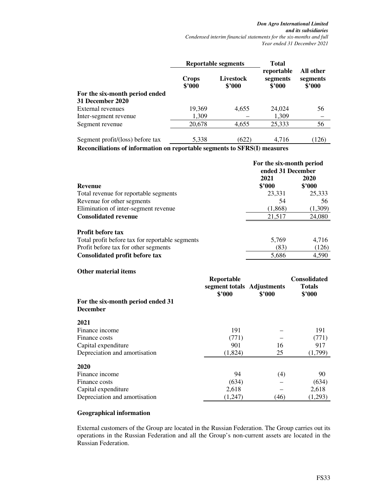|                                  | <b>Reportable segments</b> |                     | <b>Total</b>                     |                                 |
|----------------------------------|----------------------------|---------------------|----------------------------------|---------------------------------|
|                                  | <b>Crops</b><br>\$2000     | Livestock<br>\$3000 | reportable<br>segments<br>\$3000 | All other<br>segments<br>\$3000 |
| For the six-month period ended   |                            |                     |                                  |                                 |
| 31 December 2020                 |                            |                     |                                  |                                 |
| External revenues                | 19,369                     | 4,655               | 24,024                           | 56                              |
| Inter-segment revenue            | 1,309                      |                     | 1,309                            |                                 |
| Segment revenue                  | 20,678                     | 4,655               | 25,333                           | 56                              |
| Segment profit/(loss) before tax | 5,338                      | (622)               | 4,716                            | (126)                           |

**Reconciliations of information on reportable segments to SFRS(I) measures** 

|                                                 | For the six-month period<br>ended 31 December |                         |  |
|-------------------------------------------------|-----------------------------------------------|-------------------------|--|
| <b>Revenue</b>                                  | 2021<br>\$2000                                | 2020<br>$$^{\prime}000$ |  |
| Total revenue for reportable segments           | 23,331                                        | 25,333                  |  |
| Revenue for other segments                      | 54                                            | 56                      |  |
| Elimination of inter-segment revenue            | (1,868)                                       | (1,309)                 |  |
| <b>Consolidated revenue</b>                     | 21.517                                        | 24,080                  |  |
| <b>Profit before tax</b>                        |                                               |                         |  |
| Total profit before tax for reportable segments | 5,769                                         | 4.716                   |  |
| Profit before tax for other segments            | (83)                                          | (126)                   |  |
| Consolidated profit before tax                  | 5,686                                         | 4,590                   |  |

| <b>Other material items</b>                          | Reportable<br>segment totals Adjustments<br>\$2000 | \$3000 | <b>Consolidated</b><br><b>Totals</b><br>\$'000 |
|------------------------------------------------------|----------------------------------------------------|--------|------------------------------------------------|
| For the six-month period ended 31<br><b>December</b> |                                                    |        |                                                |
| 2021                                                 |                                                    |        |                                                |
| Finance income                                       | 191                                                |        | 191                                            |
| Finance costs                                        | (771)                                              |        | (771)                                          |
| Capital expenditure                                  | 901                                                | 16     | 917                                            |
| Depreciation and amortisation                        | (1,824)                                            | 25     | (1,799)                                        |
| 2020                                                 |                                                    |        |                                                |
| Finance income                                       | 94                                                 | (4)    | 90                                             |
| Finance costs                                        | (634)                                              |        | (634)                                          |
| Capital expenditure                                  | 2,618                                              |        | 2,618                                          |
| Depreciation and amortisation                        | (1,247)                                            | (46)   | (1,293)                                        |

#### **Geographical information**

External customers of the Group are located in the Russian Federation. The Group carries out its operations in the Russian Federation and all the Group's non-current assets are located in the Russian Federation.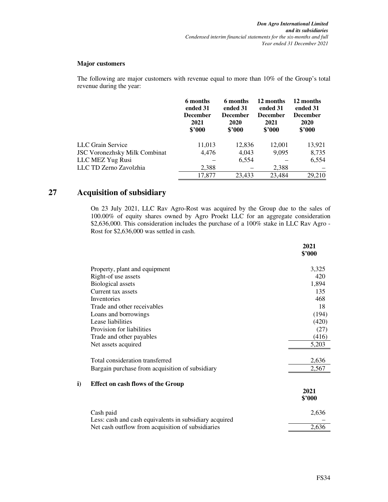#### **Major customers**

The following are major customers with revenue equal to more than 10% of the Group's total revenue during the year:

|                                      | 6 months<br>ended 31<br><b>December</b><br>2021<br>\$3000 | 6 months<br>ended 31<br><b>December</b><br>2020<br>\$3000 | 12 months<br>ended 31<br><b>December</b><br>2021<br>\$3000 | 12 months<br>ended 31<br><b>December</b><br><b>2020</b><br>\$3000 |
|--------------------------------------|-----------------------------------------------------------|-----------------------------------------------------------|------------------------------------------------------------|-------------------------------------------------------------------|
| LLC Grain Service                    | 11,013                                                    | 12,836                                                    | 12,001                                                     | 13,921                                                            |
| <b>JSC Voronezhsky Milk Combinat</b> | 4,476                                                     | 4,043                                                     | 9,095                                                      | 8,735                                                             |
| LLC MEZ Yug Rusi                     |                                                           | 6,554                                                     |                                                            | 6,554                                                             |
| LLC TD Zerno Zavolzhia               | 2,388                                                     |                                                           | 2,388                                                      |                                                                   |
|                                      | 17,877                                                    | 23.433                                                    | 23,484                                                     | 29,210                                                            |

### **27 Acquisition of subsidiary**

On 23 July 2021, LLC Rav Agro-Rost was acquired by the Group due to the sales of 100.00% of equity shares owned by Agro Proekt LLC for an aggregate consideration \$2,636,000. This consideration includes the purchase of a 100% stake in LLC Rav Agro - Rost for \$2,636,000 was settled in cash.

|    |                                                        | 2021<br>\$'000 |
|----|--------------------------------------------------------|----------------|
|    | Property, plant and equipment                          | 3,325          |
|    | Right-of use assets                                    | 420            |
|    | <b>Biological assets</b>                               | 1,894          |
|    | Current tax assets                                     | 135            |
|    | Inventories                                            | 468            |
|    | Trade and other receivables                            | 18             |
|    | Loans and borrowings                                   | (194)          |
|    | Lease liabilities                                      | (420)          |
|    | Provision for liabilities                              | (27)           |
|    | Trade and other payables                               | (416)          |
|    | Net assets acquired                                    | 5,203          |
|    | Total consideration transferred                        | 2,636          |
|    | Bargain purchase from acquisition of subsidiary        | 2,567          |
| i) | <b>Effect on cash flows of the Group</b>               |                |
|    |                                                        | 2021<br>\$'000 |
|    | Cash paid                                              | 2,636          |
|    | Less: cash and cash equivalents in subsidiary acquired |                |
|    | Net cash outflow from acquisition of subsidiaries      | 2,636          |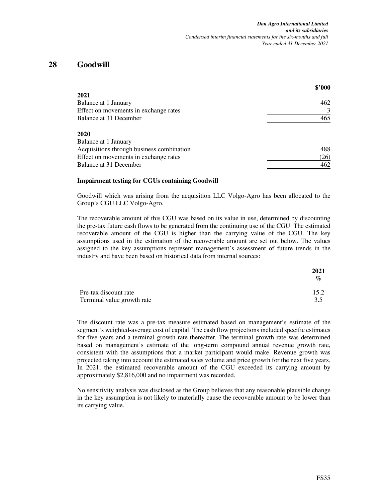### **28 Goodwill**

|                                           | \$'000 |
|-------------------------------------------|--------|
| 2021                                      |        |
| Balance at 1 January                      | 462    |
| Effect on movements in exchange rates     | 3      |
| Balance at 31 December                    | 465    |
| 2020                                      |        |
| Balance at 1 January                      |        |
| Acquisitions through business combination | 488    |
| Effect on movements in exchange rates     | (26)   |
| Balance at 31 December                    | 462    |

#### **Impairment testing for CGUs containing Goodwill**

Goodwill which was arising from the acquisition LLC Volgo-Agro has been allocated to the Group's CGU LLC Volgo-Agro.

The recoverable amount of this CGU was based on its value in use, determined by discounting the pre-tax future cash flows to be generated from the continuing use of the CGU. The estimated recoverable amount of the CGU is higher than the carrying value of the CGU. The key assumptions used in the estimation of the recoverable amount are set out below. The values assigned to the key assumptions represent management's assessment of future trends in the industry and have been based on historical data from internal sources:

|                            | 2021<br>$\mathcal{O}_0$ |
|----------------------------|-------------------------|
| Pre-tax discount rate      | 15.2                    |
| Terminal value growth rate | 3.5                     |

The discount rate was a pre-tax measure estimated based on management's estimate of the segment's weighted-average cost of capital. The cash flow projections included specific estimates for five years and a terminal growth rate thereafter. The terminal growth rate was determined based on management's estimate of the long-term compound annual revenue growth rate, consistent with the assumptions that a market participant would make. Revenue growth was projected taking into account the estimated sales volume and price growth for the next five years. In 2021, the estimated recoverable amount of the CGU exceeded its carrying amount by approximately \$2,816,000 and no impairment was recorded.

No sensitivity analysis was disclosed as the Group believes that any reasonable plausible change in the key assumption is not likely to materially cause the recoverable amount to be lower than its carrying value.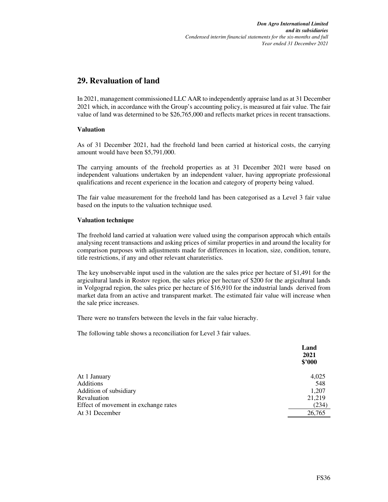### **29. Revaluation of land**

In 2021, management commissioned LLC AAR to independently appraise land as at 31 December 2021 which, in accordance with the Group's accounting policy, is measured at fair value. The fair value of land was determined to be \$26,765,000 and reflects market prices in recent transactions.

#### **Valuation**

As of 31 December 2021, had the freehold land been carried at historical costs, the carrying amount would have been \$5,791,000.

The carrying amounts of the freehold properties as at 31 December 2021 were based on independent valuations undertaken by an independent valuer, having appropriate professional qualifications and recent experience in the location and category of property being valued.

The fair value measurement for the freehold land has been categorised as a Level 3 fair value based on the inputs to the valuation technique used.

#### **Valuation technique**

The freehold land carried at valuation were valued using the comparison approcah which entails analysing recent transactions and asking prices of similar properties in and around the locality for comparison purposes with adjustments made for differences in location, size, condition, tenure, title restrictions, if any and other relevant charateristics.

The key unobservable input used in the valution are the sales price per hectare of \$1,491 for the argicultural lands in Rostov region, the sales price per hectare of \$200 for the argicultural lands in Volgograd region, the sales price per hectare of \$16,910 for the industrial lands derived from market data from an active and transparent market. The estimated fair value will increase when the sale price increases.

There were no transfers between the levels in the fair value hierachy.

The following table shows a reconciliation for Level 3 fair values.

|                                      | Land<br>2021<br>\$'000 |
|--------------------------------------|------------------------|
| At 1 January                         | 4,025                  |
| <b>Additions</b>                     | 548                    |
| Addition of subsidiary               | 1,207                  |
| Revaluation                          | 21,219                 |
| Effect of movement in exchange rates | (234)                  |
| At 31 December                       | 26,765                 |
|                                      |                        |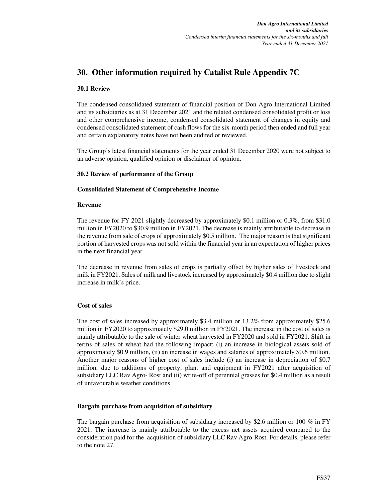### **30. Other information required by Catalist Rule Appendix 7C**

#### **30.1 Review**

The condensed consolidated statement of financial position of Don Agro International Limited and its subsidiaries as at 31 December 2021 and the related condensed consolidated profit or loss and other comprehensive income, condensed consolidated statement of changes in equity and condensed consolidated statement of cash flows for the six-month period then ended and full year and certain explanatory notes have not been audited or reviewed.

The Group's latest financial statements for the year ended 31 December 2020 were not subject to an adverse opinion, qualified opinion or disclaimer of opinion.

#### **30.2 Review of performance of the Group**

#### **Consolidated Statement of Comprehensive Income**

#### **Revenue**

The revenue for FY 2021 slightly decreased by approximately \$0.1 million or 0.3%, from \$31.0 million in FY2020 to \$30.9 million in FY2021. The decrease is mainly attributable to decrease in the revenue from sale of crops of approximately \$0.5 million. The major reason is that significant portion of harvested crops was not sold within the financial year in an expectation of higher prices in the next financial year.

The decrease in revenue from sales of crops is partially offset by higher sales of livestock and milk in FY2021. Sales of milk and livestock increased by approximately \$0.4 million due to slight increase in milk's price.

#### **Cost of sales**

The cost of sales increased by approximately \$3.4 million or 13.2% from approximately \$25.6 million in FY2020 to approximately \$29.0 million in FY2021. The increase in the cost of sales is mainly attributable to the sale of winter wheat harvested in FY2020 and sold in FY2021. Shift in terms of sales of wheat had the following impact: (i) an increase in biological assets sold of approximately \$0.9 million, (ii) an increase in wages and salaries of approximately \$0.6 million. Another major reasons of higher cost of sales include (i) an increase in depreciation of \$0.7 million, due to additions of property, plant and equipment in FY2021 after acquisition of subsidiary LLC Rav Agro- Rost and (ii) write-off of perennial grasses for \$0.4 million as a result of unfavourable weather conditions.

#### **Bargain purchase from acquisition of subsidiary**

The bargain purchase from acquisition of subsidiary increased by \$2.6 million or 100 % in FY 2021. The increase is mainly attributable to the excess net assets acquired compared to the consideration paid for the acquisition of subsidiary LLC Rav Agro-Rost. For details, please refer to the note 27.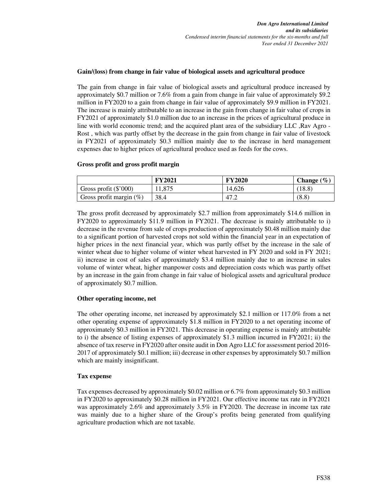#### **Gain/(loss) from change in fair value of biological assets and agricultural produce**

The gain from change in fair value of biological assets and agricultural produce increased by approximately \$0.7 million or 7.6% from a gain from change in fair value of approximately \$9.2 million in FY2020 to a gain from change in fair value of approximately \$9.9 million in FY2021. The increase is mainly attributable to an increase in the gain from change in fair value of crops in FY2021 of approximately \$1.0 million due to an increase in the prices of agricultural produce in line with world economic trend; and the acquired plant area of the subsidiary LLC ,Rav Agro - Rost , which was partly offset by the decrease in the gain from change in fair value of livestock in FY2021 of approximately \$0.3 million mainly due to the increase in herd management expenses due to higher prices of agricultural produce used as feeds for the cows.

#### **Gross profit and gross profit margin**

|                            | <b>FY2021</b> | <b>FY2020</b> | <b>Change</b> $(\%)$ |
|----------------------------|---------------|---------------|----------------------|
| Gross profit $(\$'000)$    | 11.875        | 14,626        | 18.8)                |
| Gross profit margin $(\%)$ | 38.4          | 47.2          | (8.8)                |

The gross profit decreased by approximately \$2.7 million from approximately \$14.6 million in FY2020 to approximately \$11.9 million in FY2021. The decrease is mainly attributable to i) decrease in the revenue from sale of crops production of approximately \$0.48 million mainly due to a significant portion of harvested crops not sold within the financial year in an expectation of higher prices in the next financial year, which was partly offset by the increase in the sale of winter wheat due to higher volume of winter wheat harvested in FY 2020 and sold in FY 2021; ii) increase in cost of sales of approximately \$3.4 million mainly due to an increase in sales volume of winter wheat, higher manpower costs and depreciation costs which was partly offset by an increase in the gain from change in fair value of biological assets and agricultural produce of approximately \$0.7 million.

#### **Other operating income, net**

The other operating income, net increased by approximately \$2.1 million or 117.0% from a net other operating expense of approximately \$1.8 million in FY2020 to a net operating income of approximately \$0.3 million in FY2021. This decrease in operating expense is mainly attributable to i) the absence of listing expenses of approximately \$1.3 million incurred in FY2021; ii) the absence of tax reserve in FY2020 after onsite audit in Don Agro LLC for assessment period 2016- 2017 of approximately \$0.1 million; iii) decrease in other expenses by approximately \$0.7 million which are mainly insignificant.

#### **Tax expense**

Tax expenses decreased by approximately \$0.02 million or 6.7% from approximately \$0.3 million in FY2020 to approximately \$0.28 million in FY2021. Our effective income tax rate in FY2021 was approximately 2.6% and approximately 3.5% in FY2020. The decrease in income tax rate was mainly due to a higher share of the Group's profits being generated from qualifying agriculture production which are not taxable.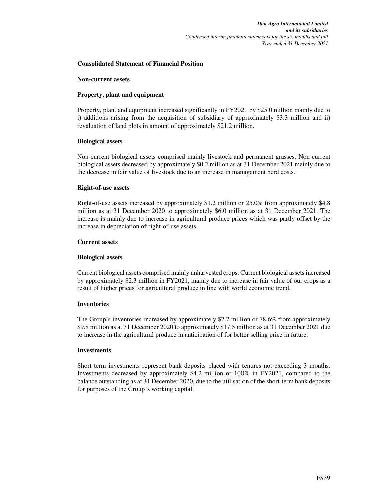#### **Consolidated Statement of Financial Position**

#### **Non-current assets**

#### **Property, plant and equipment**

Property, plant and equipment increased significantly in FY2021 by \$25.0 million mainly due to i) additions arising from the acquisition of subsidiary of approximately \$3.3 million and ii) revaluation of land plots in amount of approximately \$21.2 million.

#### **Biological assets**

Non-current biological assets comprised mainly livestock and permanent grasses. Non-current biological assets decreased by approximately \$0.2 million as at 31 December 2021 mainly due to the decrease in fair value of livestock due to an increase in management herd costs.

#### **Right-of-use assets**

Right-of-use assets increased by approximately \$1.2 million or 25.0% from approximately \$4.8 million as at 31 December 2020 to approximately \$6.0 million as at 31 December 2021. The increase is mainly due to increase in agricultural produce prices which was partly offset by the increase in depreciation of right-of-use assets

#### **Current assets**

#### **Biological assets**

Current biological assets comprised mainly unharvested crops. Current biological assets increased by approximately \$2.3 million in FY2021, mainly due to increase in fair value of our crops as a result of higher prices for agricultural produce in line with world economic trend.

#### **Inventories**

The Group's inventories increased by approximately \$7.7 million or 78.6% from approximately \$9.8 million as at 31 December 2020 to approximately \$17.5 million as at 31 December 2021 due to increase in the agricultural produce in anticipation of for better selling price in future.

#### **Investments**

Short term investments represent bank deposits placed with tenures not exceeding 3 months. Investments decreased by approximately \$4.2 million or 100% in FY2021, compared to the balance outstanding as at 31 December 2020, due to the utilisation of the short-term bank deposits for purposes of the Group's working capital.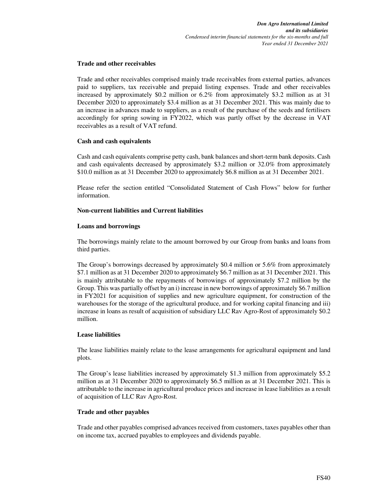#### **Trade and other receivables**

Trade and other receivables comprised mainly trade receivables from external parties, advances paid to suppliers, tax receivable and prepaid listing expenses. Trade and other receivables increased by approximately \$0.2 million or 6.2% from approximately \$3.2 million as at 31 December 2020 to approximately \$3.4 million as at 31 December 2021. This was mainly due to an increase in advances made to suppliers, as a result of the purchase of the seeds and fertilisers accordingly for spring sowing in FY2022, which was partly offset by the decrease in VAT receivables as a result of VAT refund.

#### **Cash and cash equivalents**

Cash and cash equivalents comprise petty cash, bank balances and short-term bank deposits. Cash and cash equivalents decreased by approximately \$3.2 million or 32.0% from approximately \$10.0 million as at 31 December 2020 to approximately \$6.8 million as at 31 December 2021.

Please refer the section entitled "Consolidated Statement of Cash Flows" below for further information.

#### **Non-current liabilities and Current liabilities**

#### **Loans and borrowings**

The borrowings mainly relate to the amount borrowed by our Group from banks and loans from third parties.

The Group's borrowings decreased by approximately \$0.4 million or 5.6% from approximately \$7.1 million as at 31 December 2020 to approximately \$6.7 million as at 31 December 2021. This is mainly attributable to the repayments of borrowings of approximately \$7.2 million by the Group. This was partially offset by an i) increase in new borrowings of approximately \$6.7 million in FY2021 for acquisition of supplies and new agriculture equipment, for construction of the warehouses for the storage of the agricultural produce, and for working capital financing and iii) increase in loans as result of acquisition of subsidiary LLC Rav Agro-Rost of approximately \$0.2 million.

#### **Lease liabilities**

The lease liabilities mainly relate to the lease arrangements for agricultural equipment and land plots.

The Group's lease liabilities increased by approximately \$1.3 million from approximately \$5.2 million as at 31 December 2020 to approximately \$6.5 million as at 31 December 2021. This is attributable to the increase in agricultural produce prices and increase in lease liabilities as a result of acquisition of LLC Rav Agro-Rost.

#### **Trade and other payables**

Trade and other payables comprised advances received from customers, taxes payables other than on income tax, accrued payables to employees and dividends payable.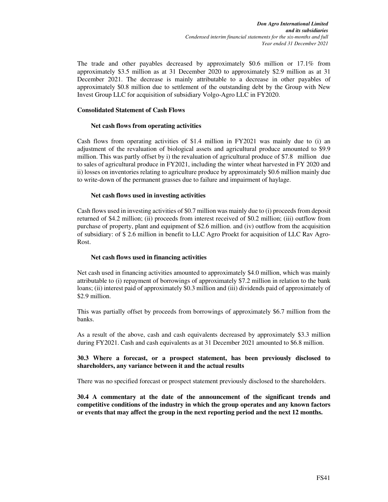The trade and other payables decreased by approximately \$0.6 million or 17.1% from approximately \$3.5 million as at 31 December 2020 to approximately \$2.9 million as at 31 December 2021. The decrease is mainly attributable to a decrease in other payables of approximately \$0.8 million due to settlement of the outstanding debt by the Group with New Invest Group LLC for acquisition of subsidiary Volgo-Agro LLC in FY2020.

#### **Consolidated Statement of Cash Flows**

#### **Net cash flows from operating activities**

Cash flows from operating activities of \$1.4 million in FY2021 was mainly due to (i) an adjustment of the revaluation of biological assets and agricultural produce amounted to \$9.9 million. This was partly offset by i) the revaluation of agricultural produce of \$7.8 million due to sales of agricultural produce in FY2021, including the winter wheat harvested in FY 2020 and ii) losses on inventories relating to agriculture produce by approximately \$0.6 million mainly due to write-down of the permanent grasses due to failure and impairment of haylage.

#### **Net cash flows used in investing activities**

Cash flows used in investing activities of \$0.7 million was mainly due to (i) proceeds from deposit returned of \$4.2 million; (ii) proceeds from interest received of \$0.2 million; (iii) outflow from purchase of property, plant and equipment of \$2.6 million. and (iv) outflow from the acquisition of subsidiary: of \$ 2.6 million in benefit to LLC Agro Proekt for acquisition of LLC Rav Agro-Rost.

#### **Net cash flows used in financing activities**

Net cash used in financing activities amounted to approximately \$4.0 million, which was mainly attributable to (i) repayment of borrowings of approximately \$7.2 million in relation to the bank loans; (ii) interest paid of approximately \$0.3 million and (iii) dividends paid of approximately of \$2.9 million.

This was partially offset by proceeds from borrowings of approximately \$6.7 million from the banks.

As a result of the above, cash and cash equivalents decreased by approximately \$3.3 million during FY2021. Cash and cash equivalents as at 31 December 2021 amounted to \$6.8 million.

#### **30.3 Where a forecast, or a prospect statement, has been previously disclosed to shareholders, any variance between it and the actual results**

There was no specified forecast or prospect statement previously disclosed to the shareholders.

**30.4 A commentary at the date of the announcement of the significant trends and competitive conditions of the industry in which the group operates and any known factors or events that may affect the group in the next reporting period and the next 12 months.**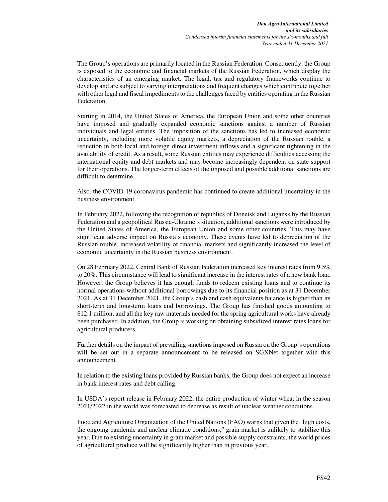The Group's operations are primarily located in the Russian Federation. Consequently, the Group is exposed to the economic and financial markets of the Russian Federation, which display the characteristics of an emerging market. The legal, tax and regulatory frameworks continue to develop and are subject to varying interpretations and frequent changes which contribute together with other legal and fiscal impediments to the challenges faced by entities operating in the Russian Federation.

Starting in 2014, the United States of America, the European Union and some other countries have imposed and gradually expanded economic sanctions against a number of Russian individuals and legal entities. The imposition of the sanctions has led to increased economic uncertainty, including more volatile equity markets, a depreciation of the Russian rouble, a reduction in both local and foreign direct investment inflows and a significant tightening in the availability of credit. As a result, some Russian entities may experience difficulties accessing the international equity and debt markets and may become increasingly dependent on state support for their operations. The longer-term effects of the imposed and possible additional sanctions are difficult to determine.

Also, the COVID-19 coronavirus pandemic has continued to create additional uncertainty in the business environment.

In February 2022, following the recognition of republics of Donetsk and Lugansk by the Russian Federation and a geopolitical Russia-Ukraine's situation, additional sanctions were introduced by the United States of America, the European Union and some other countries. This may have significant adverse impact on Russia's economy. These events have led to depreciation of the Russian rouble, increased volatility of financial markets and significantly increased the level of economic uncertainty in the Russian business environment.

On 28 February 2022, Central Bank of Russian Federation increased key interest rates from 9.5% to 20%. This circumstance will lead to significant increase in the interest rates of a new bank loan. However, the Group believes it has enough funds to redeem existing loans and to continue its normal operations without additional borrowings due to its financial position as at 31 December 2021. As at 31 December 2021, the Group's cash and cash equivalents balance is higher than its short-term and long-term loans and borrowings. The Group has finished goods amounting to \$12.1 million, and all the key raw materials needed for the spring agricultural works have already been purchased. In addition, the Group is working on obtaining subsidized interest rates loans for agricultural producers.

Further details on the impact of prevailing sanctions imposed on Russia on the Group's operations will be set out in a separate announcement to be released on SGXNet together with this announcement.

In relation to the existing loans provided by Russian banks, the Group does not expect an increase in bank interest rates and debt calling.

In USDA's report release in February 2022, the entire production of winter wheat in the season 2021/2022 in the world was forecasted to decrease as result of unclear weather conditions.

Food and Agriculture Organization of the United Nations (FAO) warns that given the "high costs, the ongoing pandemic and unclear climatic conditions," grain market is unlikely to stabilize this year. Due to existing uncertainty in grain market and possible supply constraints, the world prices of agricultural produce will be significantly higher than in previous year.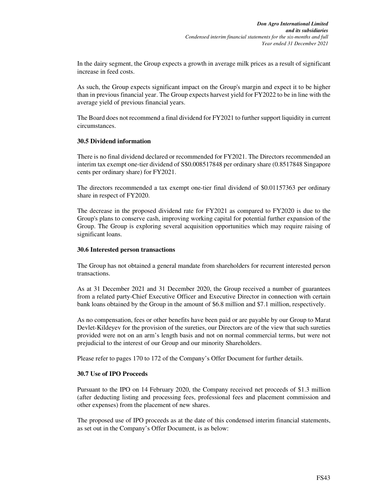In the dairy segment, the Group expects a growth in average milk prices as a result of significant increase in feed costs.

As such, the Group expects significant impact on the Group's margin and expect it to be higher than in previous financial year. The Group expects harvest yield for FY2022 to be in line with the average yield of previous financial years.

The Board does not recommend a final dividend for FY2021 to further support liquidity in current circumstances.

#### **30.5 Dividend information**

There is no final dividend declared or recommended for FY2021. The Directors recommended an interim tax exempt one-tier dividend of S\$0.008517848 per ordinary share (0.8517848 Singapore cents per ordinary share) for FY2021.

The directors recommended a tax exempt one-tier final dividend of \$0.01157363 per ordinary share in respect of FY2020.

The decrease in the proposed dividend rate for FY2021 as compared to FY2020 is due to the Group's plans to conserve cash, improving working capital for potential further expansion of the Group. The Group is exploring several acquisition opportunities which may require raising of significant loans.

#### **30.6 Interested person transactions**

The Group has not obtained a general mandate from shareholders for recurrent interested person transactions.

As at 31 December 2021 and 31 December 2020, the Group received a number of guarantees from a related party-Chief Executive Officer and Executive Director in connection with certain bank loans obtained by the Group in the amount of \$6.8 million and \$7.1 million, respectively.

As no compensation, fees or other benefits have been paid or are payable by our Group to Marat Devlet-Kildeyev for the provision of the sureties, our Directors are of the view that such sureties provided were not on an arm's length basis and not on normal commercial terms, but were not prejudicial to the interest of our Group and our minority Shareholders.

Please refer to pages 170 to 172 of the Company's Offer Document for further details.

#### **30.7 Use of IPO Proceeds**

Pursuant to the IPO on 14 February 2020, the Company received net proceeds of \$1.3 million (after deducting listing and processing fees, professional fees and placement commission and other expenses) from the placement of new shares.

The proposed use of IPO proceeds as at the date of this condensed interim financial statements, as set out in the Company's Offer Document, is as below: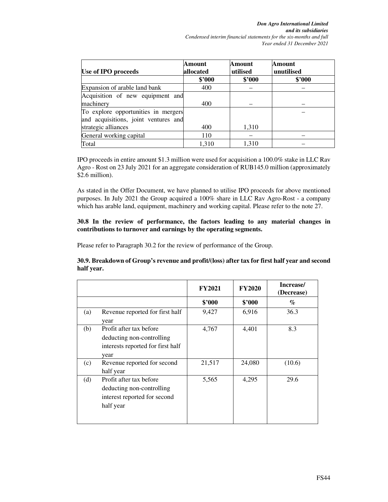*Don Agro International Limited and its subsidiaries Condensed interim financial statements for the six-months and full Year ended 31 December 2021*

| Use of IPO proceeds                  | Amount<br>allocated | Amount<br>utilised | Amount<br>unutilised |
|--------------------------------------|---------------------|--------------------|----------------------|
|                                      | \$2000              | \$'000             | \$'000               |
| Expansion of arable land bank        | 400                 |                    |                      |
| Acquisition of new equipment and     |                     |                    |                      |
| machinery                            | 400                 |                    |                      |
| To explore opportunities in mergers  |                     |                    |                      |
| and acquisitions, joint ventures and |                     |                    |                      |
| strategic alliances                  | 400                 | 1,310              |                      |
| General working capital              | 110                 |                    |                      |
| Total                                | 1.310               | 1.310              |                      |

IPO proceeds in entire amount \$1.3 million were used for acquisition a 100.0% stake in LLC Rav Agro - Rost on 23 July 2021 for an aggregate consideration of RUB145.0 million (approximately \$2.6 million).

As stated in the Offer Document, we have planned to utilise IPO proceeds for above mentioned purposes. In July 2021 the Group acquired a 100% share in LLC Rav Agro-Rost - a company which has arable land, equipment, machinery and working capital. Please refer to the note 27.

#### **30.8 In the review of performance, the factors leading to any material changes in contributions to turnover and earnings by the operating segments.**

Please refer to Paragraph 30.2 for the review of performance of the Group.

**30.9. Breakdown of Group's revenue and profit/(loss) after tax for first half year and second half year.** 

|     |                                                                                                   | <b>FY2021</b> | <b>FY2020</b> | Increase/<br>(Decrease) |
|-----|---------------------------------------------------------------------------------------------------|---------------|---------------|-------------------------|
|     |                                                                                                   | \$'000        | \$'000        | $\%$                    |
| (a) | Revenue reported for first half<br>year                                                           | 9,427         | 6,916         | 36.3                    |
| (b) | Profit after tax before<br>deducting non-controlling<br>interests reported for first half<br>year | 4,767         | 4,401         | 8.3                     |
| (c) | Revenue reported for second<br>half year                                                          | 21,517        | 24,080        | (10.6)                  |
| (d) | Profit after tax before<br>deducting non-controlling<br>interest reported for second<br>half year | 5,565         | 4,295         | 29.6                    |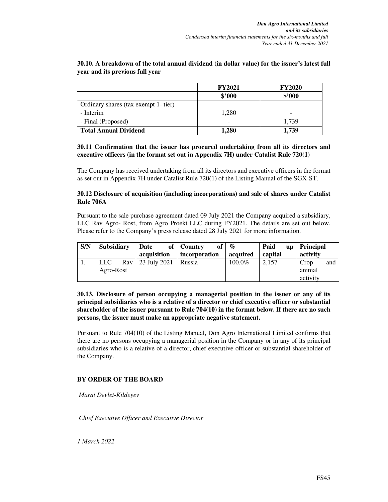|                                      | <b>FY2021</b> | <b>FY2020</b> |
|--------------------------------------|---------------|---------------|
|                                      | \$'000        | \$'000        |
| Ordinary shares (tax exempt 1- tier) |               |               |
| - Interim                            | 1,280         |               |
| - Final (Proposed)                   |               | 1,739         |
| <b>Total Annual Dividend</b>         | 1.280         | 1.739         |

#### **30.10. A breakdown of the total annual dividend (in dollar value) for the issuer's latest full year and its previous full year**

#### **30.11 Confirmation that the issuer has procured undertaking from all its directors and executive officers (in the format set out in Appendix 7H) under Catalist Rule 720(1)**

The Company has received undertaking from all its directors and executive officers in the format as set out in Appendix 7H under Catalist Rule 720(1) of the Listing Manual of the SGX-ST.

#### **30.12 Disclosure of acquisition (including incorporations) and sale of shares under Catalist Rule 706A**

Pursuant to the sale purchase agreement dated 09 July 2021 the Company acquired a subsidiary, LLC Rav Agro- Rost, from Agro Proekt LLC during FY2021. The details are set out below. Please refer to the Company's press release dated 28 July 2021 for more information.

| S/N | <b>Subsidiary</b> | Date         | of   Country<br>of <sub>l</sub> | $\mathcal{O}_{\mathcal{O}}$ | Paid<br>$\mathbf{u}\mathbf{p}$ | <b>Principal</b> |
|-----|-------------------|--------------|---------------------------------|-----------------------------|--------------------------------|------------------|
|     |                   | acquisition  | incorporation                   | acquired                    | capital                        | activity         |
| . . | <b>LLC</b><br>Rav | 23 July 2021 | Russia                          | 100.0%                      | 2.157                          | Crop<br>and      |
|     | Agro-Rost         |              |                                 |                             |                                | animal           |
|     |                   |              |                                 |                             |                                | activity         |

**30.13. Disclosure of person occupying a managerial position in the issuer or any of its principal subsidiaries who is a relative of a director or chief executive officer or substantial shareholder of the issuer pursuant to Rule 704(10) in the format below. If there are no such persons, the issuer must make an appropriate negative statement.** 

Pursuant to Rule 704(10) of the Listing Manual, Don Agro International Limited confirms that there are no persons occupying a managerial position in the Company or in any of its principal subsidiaries who is a relative of a director, chief executive officer or substantial shareholder of the Company.

#### **BY ORDER OF THE BOARD**

*Marat Devlet-Kildeyev* 

*Chief Executive Officer and Executive Director* 

*1 March 2022*